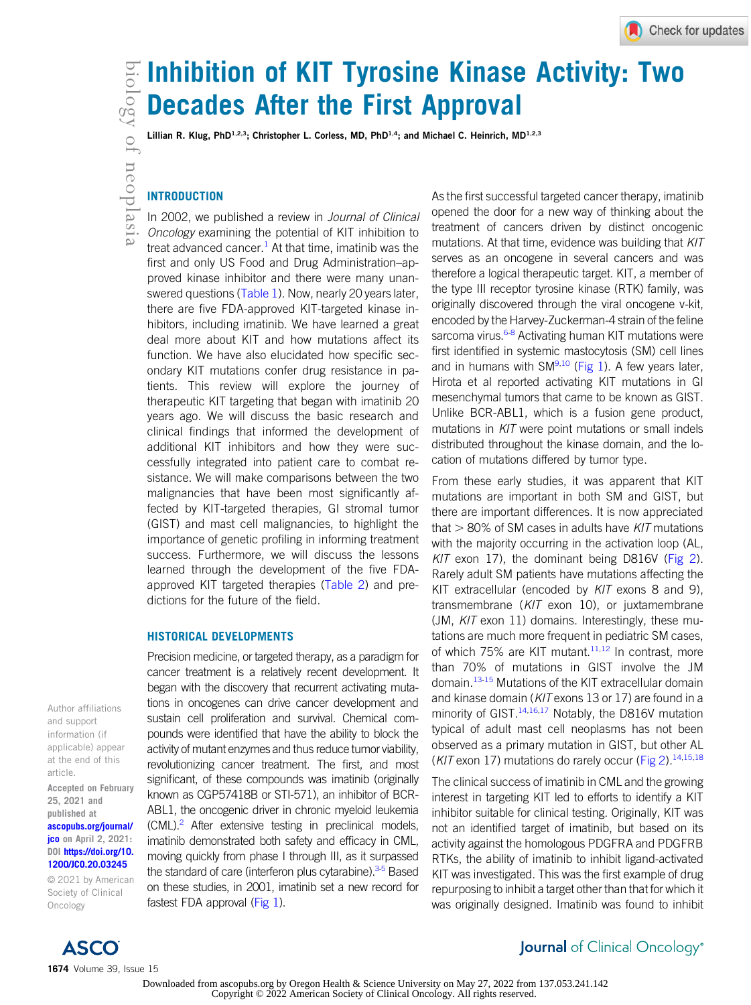# $\mathbb{E}$  Inhibition of KIT Tyrosine Kinase Activity: Two Decades After the First Approval

Lillian R. Klug, PhD<sup>1,2,3</sup>; Christopher L. Corless, MD, PhD<sup>1,4</sup>; and Michael C. Heinrich, MD<sup>1,2,3</sup>

# INTRODUCTION

In 2002, we published a review in Journal of Clinical Oncology examining the potential of KIT inhibition to treat advanced cancer.<sup>[1](#page-8-0)</sup> At that time, imatinib was the first and only US Food and Drug Administration–approved kinase inhibitor and there were many unan-swered questions ([Table 1\)](#page-1-0). Now, nearly 20 years later, there are five FDA-approved KIT-targeted kinase inhibitors, including imatinib. We have learned a great deal more about KIT and how mutations affect its function. We have also elucidated how specific secondary KIT mutations confer drug resistance in patients. This review will explore the journey of therapeutic KIT targeting that began with imatinib 20 years ago. We will discuss the basic research and clinical findings that informed the development of additional KIT inhibitors and how they were successfully integrated into patient care to combat resistance. We will make comparisons between the two malignancies that have been most significantly affected by KIT-targeted therapies, GI stromal tumor (GIST) and mast cell malignancies, to highlight the importance of genetic profiling in informing treatment success. Furthermore, we will discuss the lessons learned through the development of the five FDA-approved KIT targeted therapies ([Table 2](#page-2-0)) and predictions for the future of the field.

#### HISTORICAL DEVELOPMENTS

Precision medicine, or targeted therapy, as a paradigm for cancer treatment is a relatively recent development. It began with the discovery that recurrent activating mutations in oncogenes can drive cancer development and sustain cell proliferation and survival. Chemical compounds were identified that have the ability to block the activity of mutant enzymes and thus reduce tumor viability, revolutionizing cancer treatment. The first, and most significant, of these compounds was imatinib (originally known as CGP57418B or STI-571), an inhibitor of BCR-ABL1, the oncogenic driver in chronic myeloid leukemia  $(CML)^2$  After extensive testing in preclinical models, imatinib demonstrated both safety and efficacy in CML, moving quickly from phase I through III, as it surpassed the standard of care (interferon plus cytarabine).<sup>3[-5](#page-8-3)</sup> Based on these studies, in 2001, imatinib set a new record for fastest FDA approval [\(Fig 1](#page-3-0)).

As the first successful targeted cancer therapy, imatinib opened the door for a new way of thinking about the treatment of cancers driven by distinct oncogenic mutations. At that time, evidence was building that KIT serves as an oncogene in several cancers and was therefore a logical therapeutic target. KIT, a member of the type III receptor tyrosine kinase (RTK) family, was originally discovered through the viral oncogene v-kit, encoded by the Harvey-Zuckerman-4 strain of the feline sarcoma virus.<sup>6-[8](#page-8-5)</sup> Activating human KIT mutations were first identified in systemic mastocytosis (SM) cell lines and in humans with SM $9,10$  $9,10$  [\(Fig 1](#page-3-0)). A few years later, Hirota et al reported activating KIT mutations in GI mesenchymal tumors that came to be known as GIST. Unlike BCR-ABL1, which is a fusion gene product, mutations in KIT were point mutations or small indels distributed throughout the kinase domain, and the location of mutations differed by tumor type.

From these early studies, it was apparent that KIT mutations are important in both SM and GIST, but there are important differences. It is now appreciated that  $>$  80% of SM cases in adults have KIT mutations with the majority occurring in the activation loop (AL,  $K/T$  exon 17), the dominant being D816V [\(Fig 2](#page-4-0)). Rarely adult SM patients have mutations affecting the KIT extracellular (encoded by KIT exons 8 and 9), transmembrane (KIT exon 10), or juxtamembrane (JM, KIT exon 11) domains. Interestingly, these mutations are much more frequent in pediatric SM cases, of which 75% are KIT mutant.<sup>[11](#page-8-8)[,12](#page-8-9)</sup> In contrast, more than 70% of mutations in GIST involve the JM domain.<sup>[13-](#page-8-10)[15](#page-8-11)</sup> Mutations of the KIT extracellular domain and kinase domain ([KIT](#page-8-14) exons 13 or 17) are found in a minority of GIST.<sup>[14,](#page-8-12)[16](#page-8-13),17</sup> Notably, the D816V mutation typical of adult mast cell neoplasms has not been observed as a primary mutation in GIST, but other AL (KIT exon 17) mutations do rarely occur ([Fig 2](#page-4-0)).<sup>[14,](#page-8-12)[15](#page-8-11)[,18](#page-8-15)</sup>

The clinical success of imatinib in CML and the growing interest in targeting KIT led to efforts to identify a KIT inhibitor suitable for clinical testing. Originally, KIT was not an identified target of imatinib, but based on its activity against the homologous PDGFRA and PDGFRB RTKs, the ability of imatinib to inhibit ligand-activated KIT was investigated. This was the first example of drug repurposing to inhibit a target other than that for which it was originally designed. Imatinib was found to inhibit

Author affiliations and support information (if applicable) appear at the end of this article. Accepted on February

25, 2021 and published at [ascopubs.org/journal/](http://ascopubs.org/journal/jco) **[jco](http://ascopubs.org/journal/jco)** on April 2, 2021: DOI [https://doi.org/10.](http://ascopubs.org/doi/full/10.1200/JCO.20.03245) [1200/JCO.20.03245](http://ascopubs.org/doi/full/10.1200/JCO.20.03245)

© 2021 by American Society of Clinical Oncology



# Journal of Clinical Oncology®

Downloaded from ascopubs.org by Oregon Health & Science University on May 27, 2022 from 137.053.241.142 Copyright © 2022 American Society of Clinical Oncology. All rights reserved.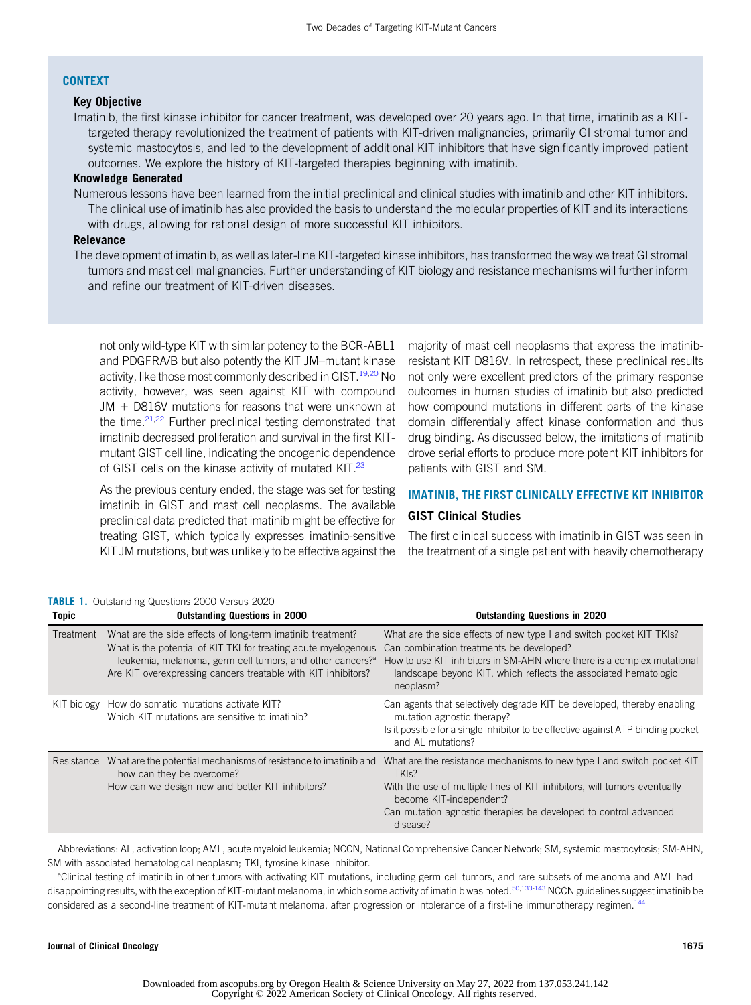#### **CONTEXT**

### Key Objective

Imatinib, the first kinase inhibitor for cancer treatment, was developed over 20 years ago. In that time, imatinib as a KITtargeted therapy revolutionized the treatment of patients with KIT-driven malignancies, primarily GI stromal tumor and systemic mastocytosis, and led to the development of additional KIT inhibitors that have significantly improved patient outcomes. We explore the history of KIT-targeted therapies beginning with imatinib.

#### Knowledge Generated

Numerous lessons have been learned from the initial preclinical and clinical studies with imatinib and other KIT inhibitors. The clinical use of imatinib has also provided the basis to understand the molecular properties of KIT and its interactions with drugs, allowing for rational design of more successful KIT inhibitors.

# Relevance

The development of imatinib, as well as later-line KIT-targeted kinase inhibitors, has transformed the way we treat GI stromal tumors and mast cell malignancies. Further understanding of KIT biology and resistance mechanisms will further inform and refine our treatment of KIT-driven diseases.

not only wild-type KIT with similar potency to the BCR-ABL1 and PDGFRA/B but also potently the KIT JM–mutant kinase activity, like those most commonly described in GIST.<sup>[19](#page-8-16)[,20](#page-8-17)</sup> No activity, however, was seen against KIT with compound  $JM + D816V$  mutations for reasons that were unknown at the time.<sup>21,[22](#page-8-19)</sup> Further preclinical testing demonstrated that imatinib decreased proliferation and survival in the first KITmutant GIST cell line, indicating the oncogenic dependence of GIST cells on the kinase activity of mutated KIT.<sup>[23](#page-8-20)</sup>

As the previous century ended, the stage was set for testing imatinib in GIST and mast cell neoplasms. The available preclinical data predicted that imatinib might be effective for treating GIST, which typically expresses imatinib-sensitive KIT JM mutations, but was unlikely to be effective against the majority of mast cell neoplasms that express the imatinibresistant KIT D816V. In retrospect, these preclinical results not only were excellent predictors of the primary response outcomes in human studies of imatinib but also predicted how compound mutations in different parts of the kinase domain differentially affect kinase conformation and thus drug binding. As discussed below, the limitations of imatinib drove serial efforts to produce more potent KIT inhibitors for patients with GIST and SM.

# IMATINIB, THE FIRST CLINICALLY EFFECTIVE KIT INHIBITOR GIST Clinical Studies

The first clinical success with imatinib in GIST was seen in the treatment of a single patient with heavily chemotherapy

| <b>Topic</b> | <b>Outstanding Questions in 2000</b>                                                                                                                                                                                                                                    | <b>Outstanding Questions in 2020</b>                                                                                                                                                                                                                                                |
|--------------|-------------------------------------------------------------------------------------------------------------------------------------------------------------------------------------------------------------------------------------------------------------------------|-------------------------------------------------------------------------------------------------------------------------------------------------------------------------------------------------------------------------------------------------------------------------------------|
| Treatment    | What are the side effects of long-term imatinib treatment?<br>What is the potential of KIT TKI for treating acute myelogenous<br>leukemia, melanoma, germ cell tumors, and other cancers? <sup>3</sup><br>Are KIT overexpressing cancers treatable with KIT inhibitors? | What are the side effects of new type I and switch pocket KIT TKIs?<br>Can combination treatments be developed?<br>How to use KIT inhibitors in SM-AHN where there is a complex mutational<br>landscape beyond KIT, which reflects the associated hematologic<br>neoplasm?          |
| KIT biology  | How do somatic mutations activate KIT?<br>Which KIT mutations are sensitive to imatinib?                                                                                                                                                                                | Can agents that selectively degrade KIT be developed, thereby enabling<br>mutation agnostic therapy?<br>Is it possible for a single inhibitor to be effective against ATP binding pocket<br>and AL mutations?                                                                       |
| Resistance   | What are the potential mechanisms of resistance to imatinib and<br>how can they be overcome?<br>How can we design new and better KIT inhibitors?                                                                                                                        | What are the resistance mechanisms to new type I and switch pocket KIT<br>TKI <sub>S</sub> ?<br>With the use of multiple lines of KIT inhibitors, will tumors eventually<br>become KIT-independent?<br>Can mutation agnostic therapies be developed to control advanced<br>disease? |

#### <span id="page-1-0"></span>TABLE 1. Outstanding Questions 2000 Versus 2020

Abbreviations: AL, activation loop; AML, acute myeloid leukemia; NCCN, National Comprehensive Cancer Network; SM, systemic mastocytosis; SM-AHN, SM with associated hematological neoplasm; TKI, tyrosine kinase inhibitor.

a Clinical testing of imatinib in other tumors with activating KIT mutations, including germ cell tumors, and rare subsets of melanoma and AML had disappointing results, with the exception of KIT-mutant melanoma, in which some activity of imatinib was noted.<sup>[50,](#page-9-0)[133](#page-11-0)[-143](#page-12-0)</sup> NCCN guidelines suggest imatinib be considered as a second-line treatment of KIT-mutant melanoma, after progression or intolerance of a first-line immunotherapy regimen.<sup>144</sup>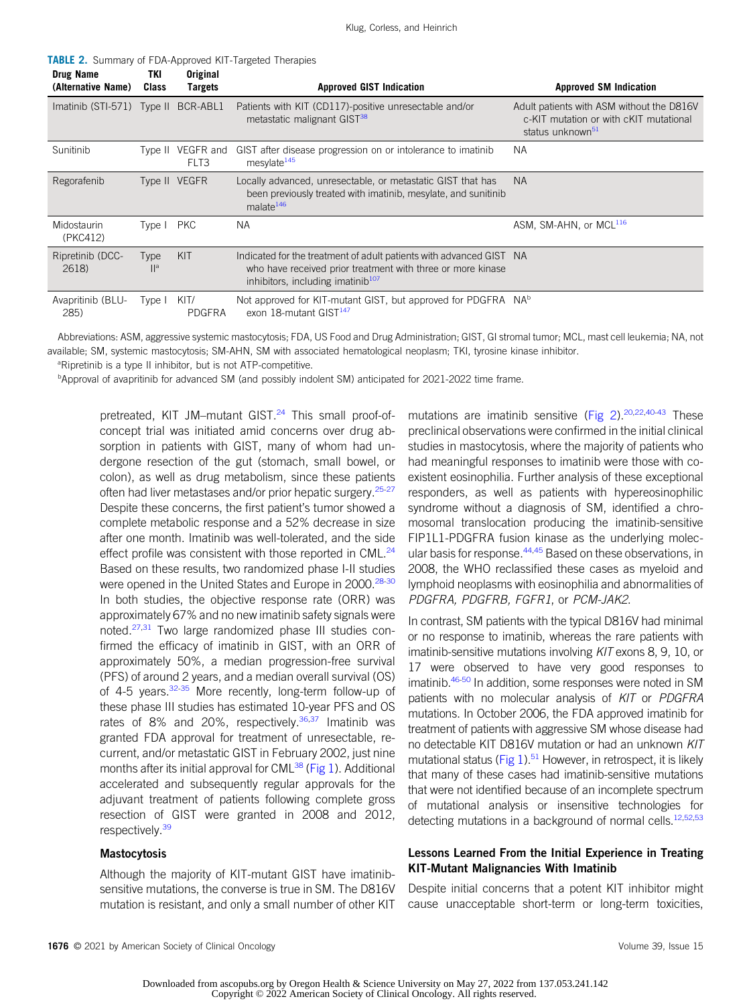<span id="page-2-0"></span>**TABLE 2.** Summary of FDA-Approved KIT-Targeted Therapies

| Drug Name<br>(Alternative Name) | TKI<br>Class            | Original<br><b>Targets</b> | <b>Approved GIST Indication</b>                                                                                                                                                     | <b>Approved SM Indication</b>                                                                                       |
|---------------------------------|-------------------------|----------------------------|-------------------------------------------------------------------------------------------------------------------------------------------------------------------------------------|---------------------------------------------------------------------------------------------------------------------|
| Imatinib (STI-571) Type II      |                         | BCR-ABL1                   | Patients with KIT (CD117)-positive unresectable and/or<br>metastatic malignant GIST <sup>38</sup>                                                                                   | Adult patients with ASM without the D816V<br>c-KIT mutation or with cKIT mutational<br>status unknown <sup>51</sup> |
| Sunitinib                       | Tvpe II                 | VEGFR and<br>FLT3          | GIST after disease progression on or intolerance to imatinib<br>mesylate <sup>145</sup>                                                                                             | <b>NA</b>                                                                                                           |
| Regorafenib                     |                         | Type II VEGFR              | Locally advanced, unresectable, or metastatic GIST that has<br>been previously treated with imatinib, mesylate, and sunitinib<br>malate <sup>146</sup>                              | <b>NA</b>                                                                                                           |
| Midostaurin<br>(PKC412)         | Type I                  | <b>PKC</b>                 | <b>NA</b>                                                                                                                                                                           | ASM, SM-AHN, or MCL <sup>116</sup>                                                                                  |
| Ripretinib (DCC-<br>2618)       | Type<br>II <sup>a</sup> | KIT                        | Indicated for the treatment of adult patients with advanced GIST NA<br>who have received prior treatment with three or more kinase<br>inhibitors, including imatinib <sup>107</sup> |                                                                                                                     |
| Avapritinib (BLU-<br>285)       | Type I                  | KIT/<br><b>PDGFRA</b>      | Not approved for KIT-mutant GIST, but approved for PDGFRA NA <sup>b</sup><br>exon 18-mutant GIST <sup>147</sup>                                                                     |                                                                                                                     |

Abbreviations: ASM, aggressive systemic mastocytosis; FDA, US Food and Drug Administration; GIST, GI stromal tumor; MCL, mast cell leukemia; NA, not available; SM, systemic mastocytosis; SM-AHN, SM with associated hematological neoplasm; TKI, tyrosine kinase inhibitor.

<sup>a</sup>Ripretinib is a type II inhibitor, but is not ATP-competitive.

<sup>b</sup>Approval of avapritinib for advanced SM (and possibly indolent SM) anticipated for 2021-2022 time frame.

pretreated, KIT JM-mutant GIST.<sup>[24](#page-8-21)</sup> This small proof-ofconcept trial was initiated amid concerns over drug absorption in patients with GIST, many of whom had undergone resection of the gut (stomach, small bowel, or colon), as well as drug metabolism, since these patients often had liver metastases and/or prior hepatic surgery.<sup>[25](#page-8-22)[-27](#page-8-23)</sup> Despite these concerns, the first patient's tumor showed a complete metabolic response and a 52% decrease in size after one month. Imatinib was well-tolerated, and the side effect profile was consistent with those reported in CML.<sup>[24](#page-8-21)</sup> Based on these results, two randomized phase I-II studies were opened in the United States and Europe in 2000.<sup>28[-30](#page-9-1)</sup> In both studies, the objective response rate (ORR) was approximately 67% and no new imatinib safety signals were noted.<sup>[27](#page-8-23)[,31](#page-9-2)</sup> Two large randomized phase III studies confirmed the efficacy of imatinib in GIST, with an ORR of approximately 50%, a median progression-free survival (PFS) of around 2 years, and a median overall survival (OS) of 4-5 years.<sup>[32-](#page-9-3)[35](#page-9-4)</sup> More recently, long-term follow-up of these phase III studies has estimated 10-year PFS and OS rates of 8% and 20%, respectively.<sup>[36](#page-9-5),[37](#page-9-6)</sup> Imatinib was granted FDA approval for treatment of unresectable, recurrent, and/or metastatic GIST in February 2002, just nine months after its initial approval for CML $^{38}$  $^{38}$  $^{38}$  [\(Fig 1\)](#page-3-0). Additional accelerated and subsequently regular approvals for the adjuvant treatment of patients following complete gross resection of GIST were granted in 2008 and 2012, respectively.<sup>[39](#page-9-8)</sup>

#### **Mastocytosis**

Although the majority of KIT-mutant GIST have imatinibsensitive mutations, the converse is true in SM. The D816V mutation is resistant, and only a small number of other KIT

mutations are imatinib sensitive (Fig  $2$ ).<sup>[20](#page-8-17),[22,](#page-8-19)[40](#page-9-9)[-43](#page-9-10)</sup> These preclinical observations were confirmed in the initial clinical studies in mastocytosis, where the majority of patients who had meaningful responses to imatinib were those with coexistent eosinophilia. Further analysis of these exceptional responders, as well as patients with hypereosinophilic syndrome without a diagnosis of SM, identified a chromosomal translocation producing the imatinib-sensitive FIP1L1-PDGFRA fusion kinase as the underlying molec-ular basis for response.<sup>[44,](#page-9-11)[45](#page-9-12)</sup> Based on these observations, in 2008, the WHO reclassified these cases as myeloid and lymphoid neoplasms with eosinophilia and abnormalities of PDGFRA, PDGFRB, FGFR1, or PCM-JAK2.

In contrast, SM patients with the typical D816V had minimal or no response to imatinib, whereas the rare patients with imatinib-sensitive mutations involving KIT exons 8, 9, 10, or 17 were observed to have very good responses to imatinib.<sup>46-[50](#page-9-0)</sup> In addition, some responses were noted in SM patients with no molecular analysis of KIT or PDGFRA mutations. In October 2006, the FDA approved imatinib for treatment of patients with aggressive SM whose disease had no detectable KIT D816V mutation or had an unknown KIT mutational status (Fig  $1$ ).<sup>51</sup> However, in retrospect, it is likely that many of these cases had imatinib-sensitive mutations that were not identified because of an incomplete spectrum of mutational analysis or insensitive technologies for detecting mutations in a background of normal cells.<sup>[12](#page-8-9)[,52](#page-9-15)[,53](#page-9-16)</sup>

#### Lessons Learned From the Initial Experience in Treating KIT-Mutant Malignancies With Imatinib

Despite initial concerns that a potent KIT inhibitor might cause unacceptable short-term or long-term toxicities,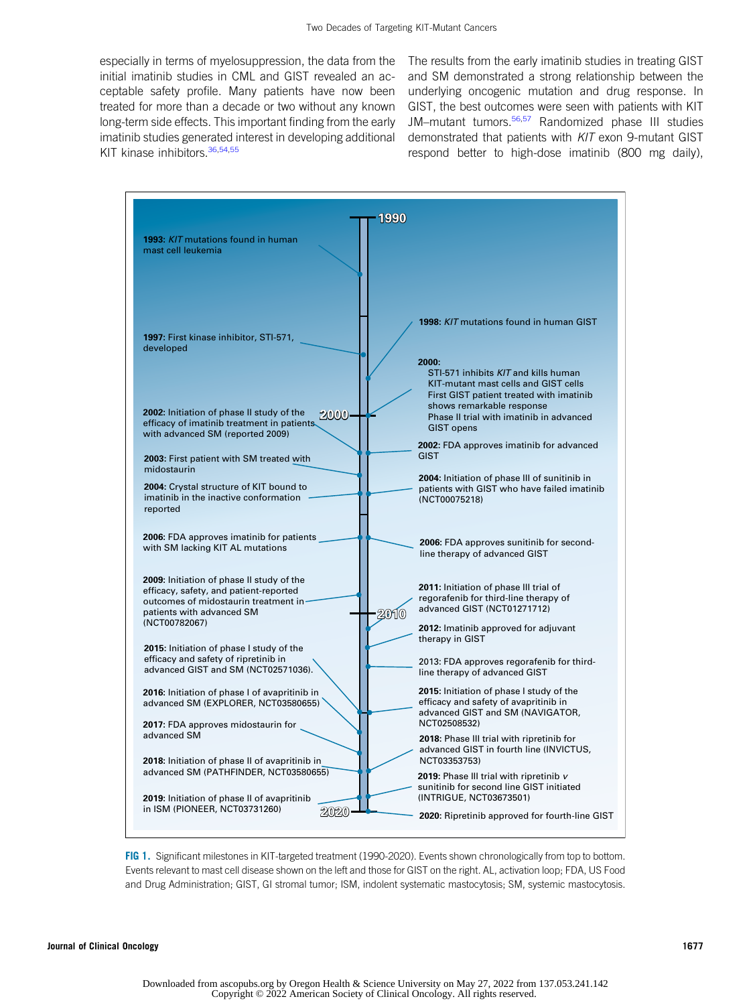especially in terms of myelosuppression, the data from the initial imatinib studies in CML and GIST revealed an acceptable safety profile. Many patients have now been treated for more than a decade or two without any known long-term side effects. This important finding from the early imatinib studies generated interest in developing additional KIT kinase inhibitors. [36](#page-9-5),[54,](#page-9-17)[55](#page-9-18)

The results from the early imatinib studies in treating GIST and SM demonstrated a strong relationship between the underlying oncogenic mutation and drug response. In GIST, the best outcomes were seen with patients with KIT JM-mutant tumors.<sup>[56,](#page-9-19)[57](#page-9-20)</sup> Randomized phase III studies demonstrated that patients with KIT exon 9-mutant GIST respond better to high-dose imatinib (800 mg daily),

| 1990                                                                                                                                    |                                                                                                                                                                                                                        |  |  |  |  |
|-----------------------------------------------------------------------------------------------------------------------------------------|------------------------------------------------------------------------------------------------------------------------------------------------------------------------------------------------------------------------|--|--|--|--|
| 1993: KIT mutations found in human<br>mast cell leukemia                                                                                |                                                                                                                                                                                                                        |  |  |  |  |
| 1997: First kinase inhibitor, STI-571,<br>developed                                                                                     | 1998: KIT mutations found in human GIST<br>2000:                                                                                                                                                                       |  |  |  |  |
| 2002: Initiation of phase II study of the<br>$2000 -$<br>efficacy of imatinib treatment in patients<br>with advanced SM (reported 2009) | STI-571 inhibits KIT and kills human<br>KIT-mutant mast cells and GIST cells<br>First GIST patient treated with imatinib<br>shows remarkable response<br>Phase II trial with imatinib in advanced<br><b>GIST opens</b> |  |  |  |  |
| 2003: First patient with SM treated with<br>midostaurin                                                                                 | 2002: FDA approves imatinib for advanced<br><b>GIST</b><br>2004: Initiation of phase III of sunitinib in                                                                                                               |  |  |  |  |
| 2004: Crystal structure of KIT bound to<br>imatinib in the inactive conformation<br>reported                                            | patients with GIST who have failed imatinib<br>(NCT00075218)                                                                                                                                                           |  |  |  |  |
| 2006: FDA approves imatinib for patients<br>with SM lacking KIT AL mutations<br>2009: Initiation of phase II study of the               | 2006: FDA approves sunitinib for second-<br>line therapy of advanced GIST                                                                                                                                              |  |  |  |  |
| efficacy, safety, and patient-reported<br>outcomes of midostaurin treatment in-<br>patients with advanced SM<br>2010<br>(NCT00782067)   | 2011: Initiation of phase III trial of<br>regorafenib for third-line therapy of<br>advanced GIST (NCT01271712)<br>2012: Imatinib approved for adjuvant                                                                 |  |  |  |  |
| 2015: Initiation of phase I study of the<br>efficacy and safety of ripretinib in<br>advanced GIST and SM (NCT02571036).                 | therapy in GIST<br>2013: FDA approves regorafenib for third-<br>line therapy of advanced GIST                                                                                                                          |  |  |  |  |
| 2016: Initiation of phase I of avapritinib in<br>advanced SM (EXPLORER, NCT03580655)<br>2017: FDA approves midostaurin for              | 2015: Initiation of phase I study of the<br>efficacy and safety of avapritinib in<br>advanced GIST and SM (NAVIGATOR,<br>NCT02508532)                                                                                  |  |  |  |  |
| advanced SM<br>2018: Initiation of phase II of avapritinib in<br>advanced SM (PATHFINDER, NCT03580655)                                  | 2018: Phase III trial with ripretinib for<br>advanced GIST in fourth line (INVICTUS,<br>NCT03353753)<br>2019: Phase III trial with ripretinib v                                                                        |  |  |  |  |
| 2019: Initiation of phase II of avapritinib<br>in ISM (PIONEER, NCT03731260)<br>2020                                                    | sunitinib for second line GIST initiated<br>(INTRIGUE, NCT03673501)<br>2020: Ripretinib approved for fourth-line GIST                                                                                                  |  |  |  |  |

<span id="page-3-0"></span>FIG 1. Significant milestones in KIT-targeted treatment (1990-2020). Events shown chronologically from top to bottom. Events relevant to mast cell disease shown on the left and those for GIST on the right. AL, activation loop; FDA, US Food and Drug Administration; GIST, GI stromal tumor; ISM, indolent systematic mastocytosis; SM, systemic mastocytosis.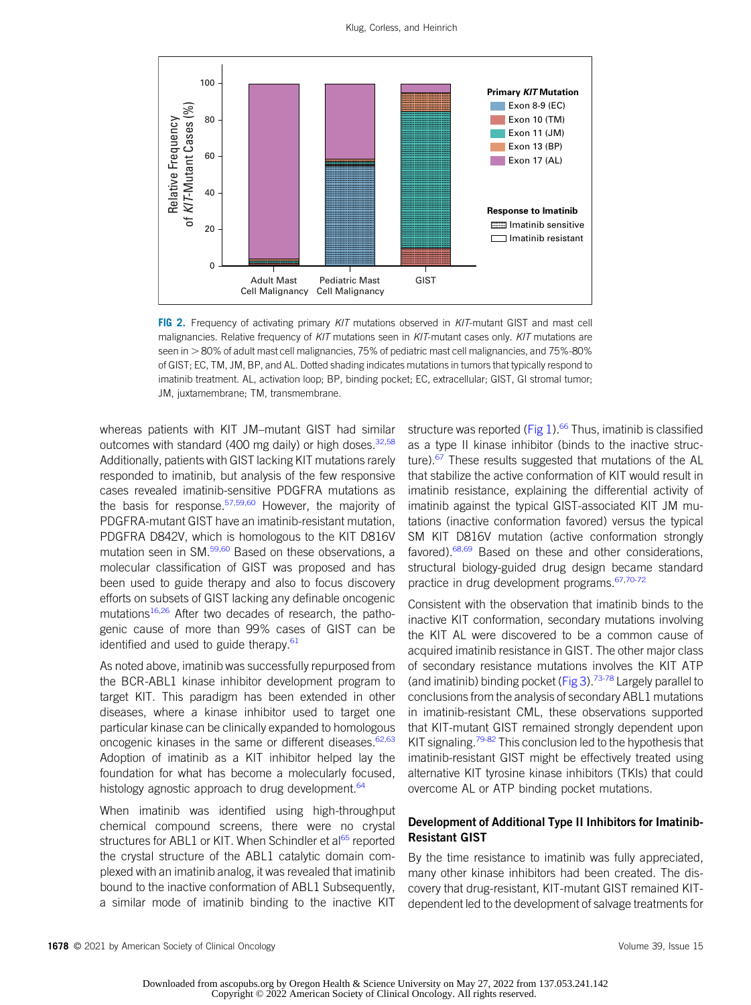

<span id="page-4-0"></span>FIG 2. Frequency of activating primary KIT mutations observed in KIT-mutant GIST and mast cell malignancies. Relative frequency of KIT mutations seen in KIT-mutant cases only. KIT mutations are seen in  $>80\%$  of adult mast cell malignancies, 75% of pediatric mast cell malignancies, and 75%-80% of GIST; EC, TM, JM, BP, and AL. Dotted shading indicates mutations in tumors that typically respond to imatinib treatment. AL, activation loop; BP, binding pocket; EC, extracellular; GIST, GI stromal tumor; JM, juxtamembrane; TM, transmembrane.

whereas patients with KIT JM–mutant GIST had similar outcomes with standard (400 mg daily) or high doses.  $32,58$  $32,58$ Additionally, patients with GIST lacking KIT mutations rarely responded to imatinib, but analysis of the few responsive cases revealed imatinib-sensitive PDGFRA mutations as the basis for response.<sup>57,[59,](#page-9-22)[60](#page-9-23)</sup> However, the majority of PDGFRA-mutant GIST have an imatinib-resistant mutation, PDGFRA D842V, which is homologous to the KIT D816V mutation seen in SM.<sup>[59,](#page-9-22)[60](#page-9-23)</sup> Based on these observations, a molecular classification of GIST was proposed and has been used to guide therapy and also to focus discovery efforts on subsets of GIST lacking any definable oncogenic mutations<sup>[16](#page-8-13)[,26](#page-8-25)</sup> After two decades of research, the pathogenic cause of more than 99% cases of GIST can be identified and used to guide therapy. $61$ 

As noted above, imatinib was successfully repurposed from the BCR-ABL1 kinase inhibitor development program to target KIT. This paradigm has been extended in other diseases, where a kinase inhibitor used to target one particular kinase can be clinically expanded to homologous oncogenic kinases in the same or different diseases.<sup>[62](#page-9-25)[,63](#page-9-26)</sup> Adoption of imatinib as a KIT inhibitor helped lay the foundation for what has become a molecularly focused, histology agnostic approach to drug development. $64$ 

When imatinib was identified using high-throughput chemical compound screens, there were no crystal structures for ABL1 or KIT. When Schindler et al<sup>[65](#page-9-28)</sup> reported the crystal structure of the ABL1 catalytic domain complexed with an imatinib analog, it was revealed that imatinib bound to the inactive conformation of ABL1 Subsequently, a similar mode of imatinib binding to the inactive KIT structure was reported (Fig  $1$ ).<sup>[66](#page-9-29)</sup> Thus, imatinib is classified as a type II kinase inhibitor (binds to the inactive structure).<sup>67</sup> These results suggested that mutations of the AL that stabilize the active conformation of KIT would result in imatinib resistance, explaining the differential activity of imatinib against the typical GIST-associated KIT JM mutations (inactive conformation favored) versus the typical SM KIT D816V mutation (active conformation strongly favored).<sup>[68,](#page-10-1)[69](#page-10-2)</sup> Based on these and other considerations, structural biology-guided drug design became standard practice in drug development programs[.67,](#page-10-0)[70](#page-10-3)[-72](#page-10-4)

Consistent with the observation that imatinib binds to the inactive KIT conformation, secondary mutations involving the KIT AL were discovered to be a common cause of acquired imatinib resistance in GIST. The other major class of secondary resistance mutations involves the KIT ATP (and imatinib) binding pocket ([Fig 3](#page-6-0)).<sup>[73](#page-10-5)[-78](#page-10-6)</sup> Largely parallel to conclusions from the analysis of secondary ABL1 mutations in imatinib-resistant CML, these observations supported that KIT-mutant GIST remained strongly dependent upon KIT signaling.<sup>[79-](#page-10-7)[82](#page-10-8)</sup> This conclusion led to the hypothesis that imatinib-resistant GIST might be effectively treated using alternative KIT tyrosine kinase inhibitors (TKIs) that could overcome AL or ATP binding pocket mutations.

## Development of Additional Type II Inhibitors for Imatinib-Resistant GIST

By the time resistance to imatinib was fully appreciated, many other kinase inhibitors had been created. The discovery that drug-resistant, KIT-mutant GIST remained KITdependent led to the development of salvage treatments for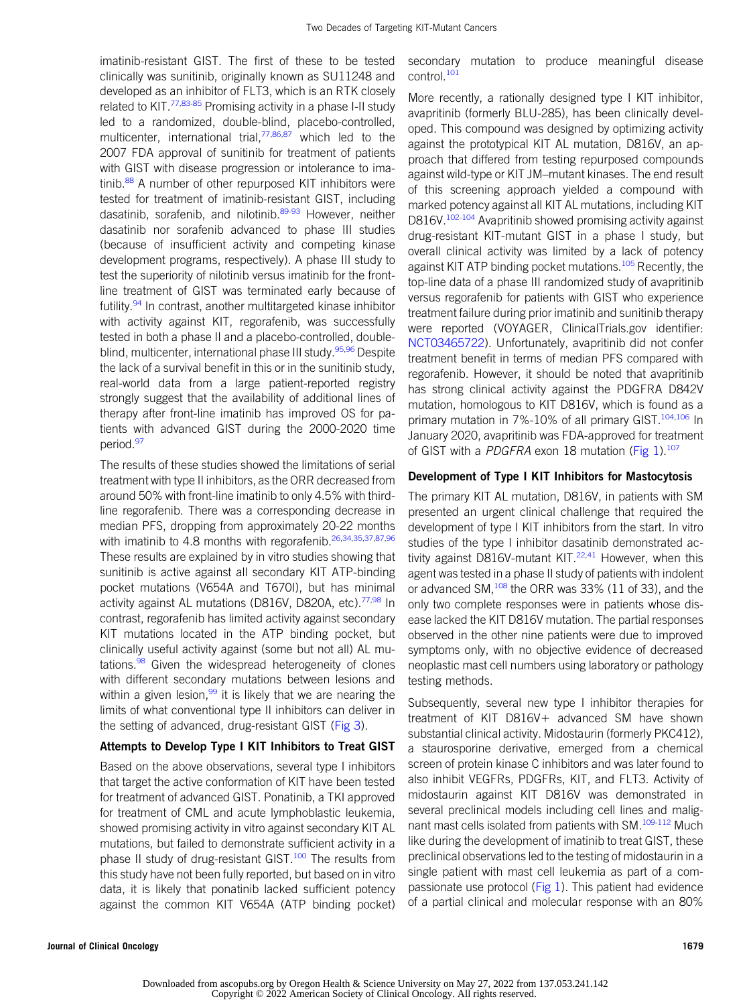imatinib-resistant GIST. The first of these to be tested clinically was sunitinib, originally known as SU11248 and developed as an inhibitor of FLT3, which is an RTK closely related to KIT.<sup>[77](#page-10-9)[,83](#page-10-10)[-85](#page-10-11)</sup> Promising activity in a phase I-II study led to a randomized, double-blind, placebo-controlled, multicenter, international trial,<sup>[77,](#page-10-9)[86](#page-10-12),[87](#page-10-13)</sup> which led to the 2007 FDA approval of sunitinib for treatment of patients with GIST with disease progression or intolerance to ima-tinib.<sup>[88](#page-10-14)</sup> A number of other repurposed KIT inhibitors were tested for treatment of imatinib-resistant GIST, including dasatinib, sorafenib, and nilotinib.<sup>[89](#page-10-15)[-93](#page-10-16)</sup> However, neither dasatinib nor sorafenib advanced to phase III studies (because of insufficient activity and competing kinase development programs, respectively). A phase III study to test the superiority of nilotinib versus imatinib for the frontline treatment of GIST was terminated early because of futility.<sup>[94](#page-10-17)</sup> In contrast, another multitargeted kinase inhibitor with activity against KIT, regorafenib, was successfully tested in both a phase II and a placebo-controlled, double-blind, multicenter, international phase III study.<sup>[95,](#page-10-18)[96](#page-10-19)</sup> Despite the lack of a survival benefit in this or in the sunitinib study, real-world data from a large patient-reported registry strongly suggest that the availability of additional lines of therapy after front-line imatinib has improved OS for patients with advanced GIST during the 2000-2020 time period.<sup>[97](#page-10-20)</sup>

The results of these studies showed the limitations of serial treatment with type II inhibitors, as the ORR decreased from around 50% with front-line imatinib to only 4.5% with thirdline regorafenib. There was a corresponding decrease in median PFS, dropping from approximately 20-22 months with imatinib to 4.8 months with regorafenib.<sup>[26](#page-8-25),[34](#page-9-30)[,35](#page-9-4)[,37,](#page-9-6)[87](#page-10-13)[,96](#page-10-19)</sup> These results are explained by in vitro studies showing that sunitinib is active against all secondary KIT ATP-binding pocket mutations (V654A and T670I), but has minimal activity against AL mutations (D816V, D820A, etc).<sup>[77,](#page-10-9)[98](#page-10-21)</sup> In contrast, regorafenib has limited activity against secondary KIT mutations located in the ATP binding pocket, but clinically useful activity against (some but not all) AL mu-tations.<sup>[98](#page-10-21)</sup> Given the widespread heterogeneity of clones with different secondary mutations between lesions and within a given lesion,  $99$  it is likely that we are nearing the limits of what conventional type II inhibitors can deliver in the setting of advanced, drug-resistant GIST ([Fig 3](#page-6-0)).

#### Attempts to Develop Type I KIT Inhibitors to Treat GIST

Based on the above observations, several type I inhibitors that target the active conformation of KIT have been tested for treatment of advanced GIST. Ponatinib, a TKI approved for treatment of CML and acute lymphoblastic leukemia, showed promising activity in vitro against secondary KIT AL mutations, but failed to demonstrate sufficient activity in a phase II study of drug-resistant GIST.<sup>[100](#page-10-23)</sup> The results from this study have not been fully reported, but based on in vitro data, it is likely that ponatinib lacked sufficient potency against the common KIT V654A (ATP binding pocket) secondary mutation to produce meaningful disease control.<sup>[101](#page-10-24)</sup>

More recently, a rationally designed type I KIT inhibitor, avapritinib (formerly BLU-285), has been clinically developed. This compound was designed by optimizing activity against the prototypical KIT AL mutation, D816V, an approach that differed from testing repurposed compounds against wild-type or KIT JM–mutant kinases. The end result of this screening approach yielded a compound with marked potency against all KIT AL mutations, including KIT D816V.<sup>[102-](#page-10-25)[104](#page-11-3)</sup> Avapritinib showed promising activity against drug-resistant KIT-mutant GIST in a phase I study, but overall clinical activity was limited by a lack of potency against KIT ATP binding pocket mutations.<sup>105</sup> Recently, the top-line data of a phase III randomized study of avapritinib versus regorafenib for patients with GIST who experience treatment failure during prior imatinib and sunitinib therapy were reported (VOYAGER, ClinicalTrials.gov identifier: [NCT03465722](https://ascopubs.org/doi/full/10.1200/NCT03465722)). Unfortunately, avapritinib did not confer treatment benefit in terms of median PFS compared with regorafenib. However, it should be noted that avapritinib has strong clinical activity against the PDGFRA D842V mutation, homologous to KIT D816V, which is found as a primary mutation in 7%-10% of all primary GIST.<sup>[104](#page-11-3),[106](#page-11-5)</sup> In January 2020, avapritinib was FDA-approved for treatment of GIST with a PDGFRA exon 18 mutation [\(Fig 1\)](#page-3-0).<sup>[107](#page-11-2)</sup>

#### Development of Type I KIT Inhibitors for Mastocytosis

The primary KIT AL mutation, D816V, in patients with SM presented an urgent clinical challenge that required the development of type I KIT inhibitors from the start. In vitro studies of the type I inhibitor dasatinib demonstrated activity against D816V-mutant KIT. $22,41$  $22,41$  However, when this agent was tested in a phase II study of patients with indolent or advanced SM,<sup>[108](#page-11-6)</sup> the ORR was 33% (11 of 33), and the only two complete responses were in patients whose disease lacked the KIT D816V mutation. The partial responses observed in the other nine patients were due to improved symptoms only, with no objective evidence of decreased neoplastic mast cell numbers using laboratory or pathology testing methods.

Subsequently, several new type I inhibitor therapies for treatment of KIT D816V+ advanced SM have shown substantial clinical activity. Midostaurin (formerly PKC412), a staurosporine derivative, emerged from a chemical screen of protein kinase C inhibitors and was later found to also inhibit VEGFRs, PDGFRs, KIT, and FLT3. Activity of midostaurin against KIT D816V was demonstrated in several preclinical models including cell lines and malig-nant mast cells isolated from patients with SM.<sup>[109](#page-11-7)[-112](#page-11-8)</sup> Much like during the development of imatinib to treat GIST, these preclinical observations led to the testing of midostaurin in a single patient with mast cell leukemia as part of a compassionate use protocol [\(Fig 1](#page-3-0)). This patient had evidence of a partial clinical and molecular response with an 80%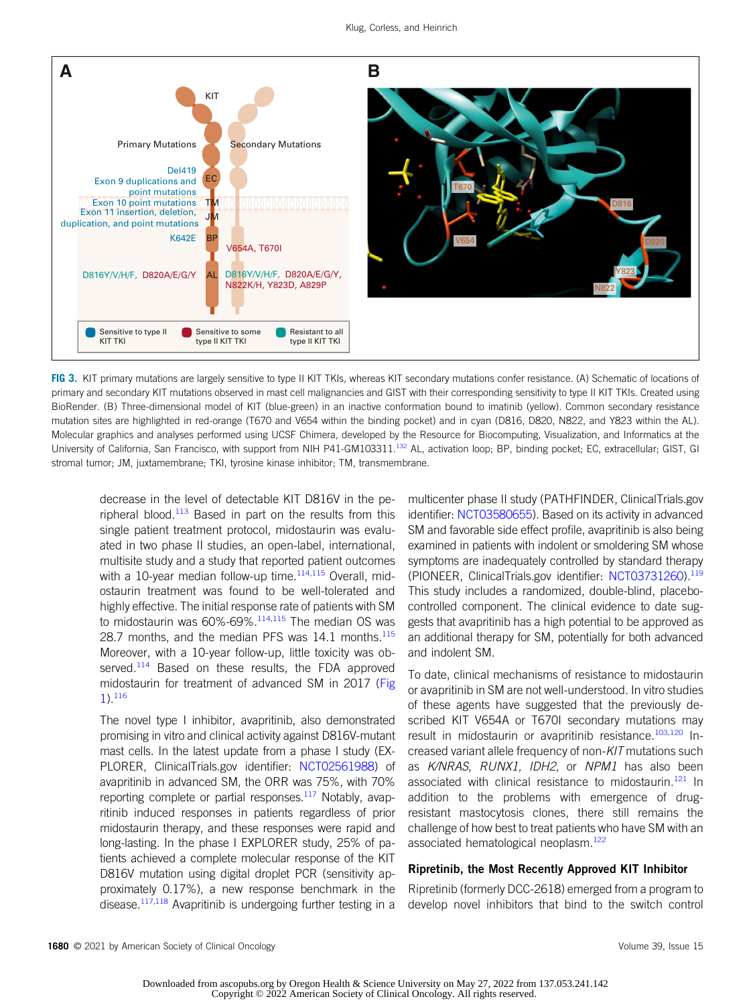

<span id="page-6-0"></span>FIG 3. KIT primary mutations are largely sensitive to type II KIT TKIs, whereas KIT secondary mutations confer resistance. (A) Schematic of locations of primary and secondary KIT mutations observed in mast cell malignancies and GIST with their corresponding sensitivity to type II KIT TKIs. Created using BioRender. (B) Three-dimensional model of KIT (blue-green) in an inactive conformation bound to imatinib (yellow). Common secondary resistance mutation sites are highlighted in red-orange (T670 and V654 within the binding pocket) and in cyan (D816, D820, N822, and Y823 within the AL). Molecular graphics and analyses performed using UCSF Chimera, developed by the Resource for Biocomputing, Visualization, and Informatics at the University of California, San Francisco, with support from NIH P41-GM103311.<sup>[132](#page-11-19)</sup> AL, activation loop; BP, binding pocket; EC, extracellular; GIST, GI stromal tumor; JM, juxtamembrane; TKI, tyrosine kinase inhibitor; TM, transmembrane.

decrease in the level of detectable KIT D816V in the peripheral blood. $113$  Based in part on the results from this single patient treatment protocol, midostaurin was evaluated in two phase II studies, an open-label, international, multisite study and a study that reported patient outcomes with a 10-year median follow-up time. $114,115$  $114,115$  Overall, midostaurin treatment was found to be well-tolerated and highly effective. The initial response rate of patients with SM to midostaurin was  $60\%$ -69%. $114,115$  $114,115$  The median OS was 28.7 months, and the median PFS was  $14.1$  months.<sup>[115](#page-11-11)</sup> Moreover, with a 10-year follow-up, little toxicity was ob-served.<sup>[114](#page-11-10)</sup> Based on these results, the FDA approved midostaurin for treatment of advanced SM in 2017 ([Fig](#page-3-0) [1](#page-3-0)).[116](#page-11-1)

The novel type I inhibitor, avapritinib, also demonstrated promising in vitro and clinical activity against D816V-mutant mast cells. In the latest update from a phase I study (EX-PLORER, ClinicalTrials.gov identifier: [NCT02561988\)](https://ascopubs.org/doi/full/10.1200/NCT02561988) of avapritinib in advanced SM, the ORR was 75%, with 70% reporting complete or partial responses.<sup>[117](#page-11-12)</sup> Notably, avapritinib induced responses in patients regardless of prior midostaurin therapy, and these responses were rapid and long-lasting. In the phase I EXPLORER study, 25% of patients achieved a complete molecular response of the KIT D816V mutation using digital droplet PCR (sensitivity approximately 0.17%), a new response benchmark in the disease.<sup>117[,118](#page-11-13)</sup> Avapritinib is undergoing further testing in a multicenter phase II study (PATHFINDER, ClinicalTrials.gov identifier: [NCT03580655\)](https://ascopubs.org/doi/full/10.1200/NCT03580655). Based on its activity in advanced SM and favorable side effect profile, avapritinib is also being examined in patients with indolent or smoldering SM whose symptoms are inadequately controlled by standard therapy (PIONEER, ClinicalTrials.gov identifier: [NCT03731260\)](https://ascopubs.org/doi/full/10.1200/NCT03731260)[.119](#page-11-14) This study includes a randomized, double-blind, placebocontrolled component. The clinical evidence to date suggests that avapritinib has a high potential to be approved as an additional therapy for SM, potentially for both advanced and indolent SM.

To date, clinical mechanisms of resistance to midostaurin or avapritinib in SM are not well-understood. In vitro studies of these agents have suggested that the previously described KIT V654A or T670I secondary mutations may result in midostaurin or avapritinib resistance.<sup>[103](#page-11-15),[120](#page-11-16)</sup> Increased variant allele frequency of non-KIT mutations such as K/NRAS, RUNX1, IDH2, or NPM1 has also been associated with clinical resistance to midostaurin.<sup>[121](#page-11-17)</sup> In addition to the problems with emergence of drugresistant mastocytosis clones, there still remains the challenge of how best to treat patients who have SM with an associated hematological neoplasm.<sup>122</sup>

#### Ripretinib, the Most Recently Approved KIT Inhibitor

Ripretinib (formerly DCC-2618) emerged from a program to develop novel inhibitors that bind to the switch control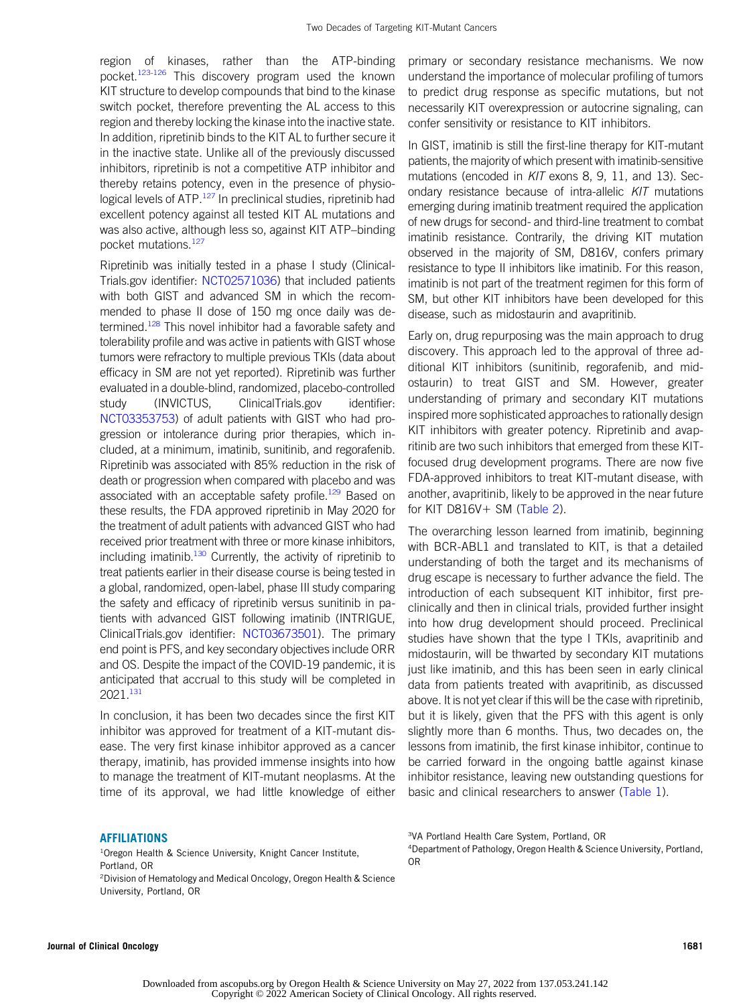region of kinases, rather than the ATP-binding pocket.<sup>[123](#page-11-20)[-126](#page-11-21)</sup> This discovery program used the known KIT structure to develop compounds that bind to the kinase switch pocket, therefore preventing the AL access to this region and thereby locking the kinase into the inactive state. In addition, ripretinib binds to the KIT AL to further secure it in the inactive state. Unlike all of the previously discussed inhibitors, ripretinib is not a competitive ATP inhibitor and thereby retains potency, even in the presence of physio-logical levels of ATP.<sup>[127](#page-11-22)</sup> In preclinical studies, ripretinib had excellent potency against all tested KIT AL mutations and was also active, although less so, against KIT ATP–binding pocket mutations.<sup>[127](#page-11-22)</sup>

Ripretinib was initially tested in a phase I study (Clinical-Trials.gov identifier: [NCT02571036\)](https://ascopubs.org/doi/full/10.1200/NCT02571036) that included patients with both GIST and advanced SM in which the recommended to phase II dose of 150 mg once daily was de-termined.<sup>[128](#page-11-23)</sup> This novel inhibitor had a favorable safety and tolerability profile and was active in patients with GIST whose tumors were refractory to multiple previous TKIs (data about efficacy in SM are not yet reported). Ripretinib was further evaluated in a double-blind, randomized, placebo-controlled study (INVICTUS, ClinicalTrials.gov identifier: [NCT03353753](https://ascopubs.org/doi/full/10.1200/NCT03353753)) of adult patients with GIST who had progression or intolerance during prior therapies, which included, at a minimum, imatinib, sunitinib, and regorafenib. Ripretinib was associated with 85% reduction in the risk of death or progression when compared with placebo and was associated with an acceptable safety profile.<sup>129</sup> Based on these results, the FDA approved ripretinib in May 2020 for the treatment of adult patients with advanced GIST who had received prior treatment with three or more kinase inhibitors, including imatinib.<sup>[130](#page-11-25)</sup> Currently, the activity of ripretinib to treat patients earlier in their disease course is being tested in a global, randomized, open-label, phase III study comparing the safety and efficacy of ripretinib versus sunitinib in patients with advanced GIST following imatinib (INTRIGUE, ClinicalTrials.gov identifier: [NCT03673501](https://ascopubs.org/doi/full/10.1200/NCT03673501)). The primary end point is PFS, and key secondary objectives include ORR and OS. Despite the impact of the COVID-19 pandemic, it is anticipated that accrual to this study will be completed in 2021.[131](#page-11-26)

In conclusion, it has been two decades since the first KIT inhibitor was approved for treatment of a KIT-mutant disease. The very first kinase inhibitor approved as a cancer therapy, imatinib, has provided immense insights into how to manage the treatment of KIT-mutant neoplasms. At the time of its approval, we had little knowledge of either

#### **AFFILIATIONS**

<sup>1</sup>Oregon Health & Science University, Knight Cancer Institute, Portland, OR 2 Division of Hematology and Medical Oncology, Oregon Health & Science University, Portland, OR

primary or secondary resistance mechanisms. We now understand the importance of molecular profiling of tumors to predict drug response as specific mutations, but not necessarily KIT overexpression or autocrine signaling, can confer sensitivity or resistance to KIT inhibitors.

In GIST, imatinib is still the first-line therapy for KIT-mutant patients, the majority of which present with imatinib-sensitive mutations (encoded in KIT exons 8, 9, 11, and 13). Secondary resistance because of intra-allelic KIT mutations emerging during imatinib treatment required the application of new drugs for second- and third-line treatment to combat imatinib resistance. Contrarily, the driving KIT mutation observed in the majority of SM, D816V, confers primary resistance to type II inhibitors like imatinib. For this reason, imatinib is not part of the treatment regimen for this form of SM, but other KIT inhibitors have been developed for this disease, such as midostaurin and avapritinib.

Early on, drug repurposing was the main approach to drug discovery. This approach led to the approval of three additional KIT inhibitors (sunitinib, regorafenib, and midostaurin) to treat GIST and SM. However, greater understanding of primary and secondary KIT mutations inspired more sophisticated approaches to rationally design KIT inhibitors with greater potency. Ripretinib and avapritinib are two such inhibitors that emerged from these KITfocused drug development programs. There are now five FDA-approved inhibitors to treat KIT-mutant disease, with another, avapritinib, likely to be approved in the near future for KIT D816V $+$  SM [\(Table 2\)](#page-2-0).

The overarching lesson learned from imatinib, beginning with BCR-ABL1 and translated to KIT, is that a detailed understanding of both the target and its mechanisms of drug escape is necessary to further advance the field. The introduction of each subsequent KIT inhibitor, first preclinically and then in clinical trials, provided further insight into how drug development should proceed. Preclinical studies have shown that the type I TKIs, avapritinib and midostaurin, will be thwarted by secondary KIT mutations just like imatinib, and this has been seen in early clinical data from patients treated with avapritinib, as discussed above. It is not yet clear if this will be the case with ripretinib, but it is likely, given that the PFS with this agent is only slightly more than 6 months. Thus, two decades on, the lessons from imatinib, the first kinase inhibitor, continue to be carried forward in the ongoing battle against kinase inhibitor resistance, leaving new outstanding questions for basic and clinical researchers to answer [\(Table 1\)](#page-1-0).

3 VA Portland Health Care System, Portland, OR

4 Department of Pathology, Oregon Health & Science University, Portland, OR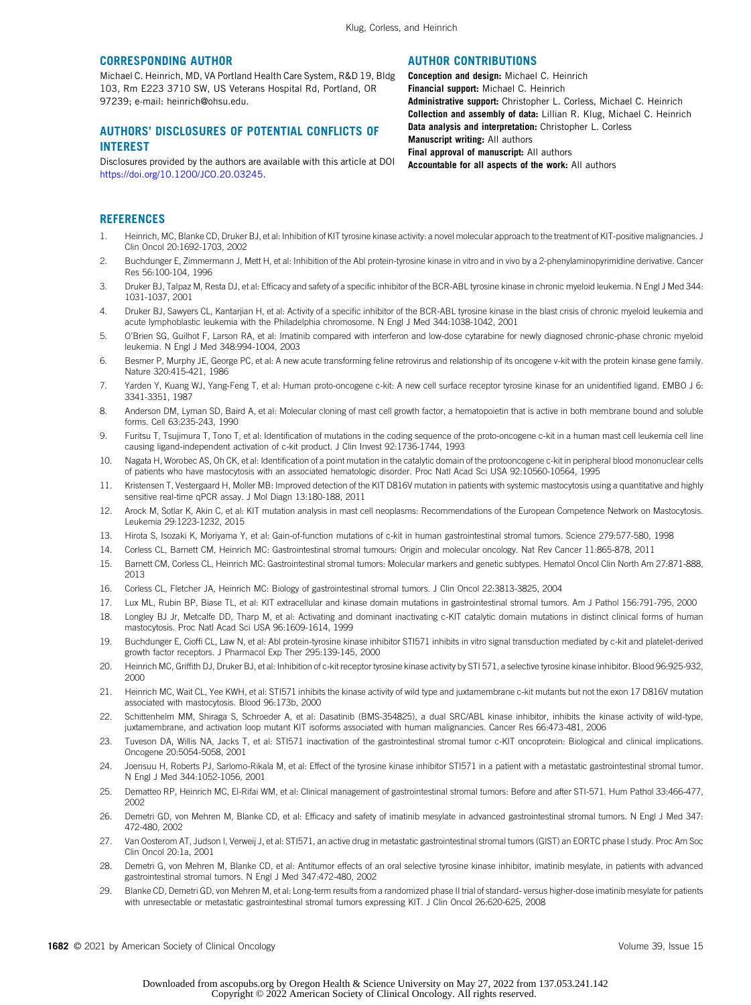#### CORRESPONDING AUTHOR

Michael C. Heinrich, MD, VA Portland Health Care System, R&D 19, Bldg 103, Rm E223 3710 SW, US Veterans Hospital Rd, Portland, OR 97239; e-mail: [heinrich@ohsu.edu.](mailto:heinrich@ohsu.edu)

### AUTHORS' DISCLOSURES OF POTENTIAL CONFLICTS OF INTEREST

Disclosures provided by the authors are available with this article at DOI [https://doi.org/10.1200/JCO.20.03245.](https://ascopubs.org/doi/full/10.1200/JCO.20.03245)

#### AUTHOR CONTRIBUTIONS

Conception and design: Michael C. Heinrich Financial support: Michael C. Heinrich Administrative support: Christopher L. Corless, Michael C. Heinrich Collection and assembly of data: Lillian R. Klug, Michael C. Heinrich Data analysis and interpretation: Christopher L. Corless Manuscript writing: All authors Final approval of manuscript: All authors Accountable for all aspects of the work: All authors

# **REFERENCES**

- <span id="page-8-0"></span>1. Heinrich, MC, Blanke CD, Druker BJ, et al: Inhibition of KIT tyrosine kinase activity: a novel molecular approach to the treatment of KIT-positive malignancies. J Clin Oncol 20:1692-1703, 2002
- <span id="page-8-1"></span>2. Buchdunger E, Zimmermann J, Mett H, et al: Inhibition of the Abl protein-tyrosine kinase in vitro and in vivo by a 2-phenylaminopyrimidine derivative. Cancer Res 56:100-104, 1996
- <span id="page-8-2"></span>3. Druker BJ, Talpaz M, Resta DJ, et al: Efficacy and safety of a specific inhibitor of the BCR-ABL tyrosine kinase in chronic myeloid leukemia. N Engl J Med 344: 1031-1037, 2001
- 4. Druker BJ, Sawyers CL, Kantarjian H, et al: Activity of a specific inhibitor of the BCR-ABL tyrosine kinase in the blast crisis of chronic myeloid leukemia and acute lymphoblastic leukemia with the Philadelphia chromosome. N Engl J Med 344:1038-1042, 2001
- <span id="page-8-3"></span>5. O'Brien SG, Guilhot F, Larson RA, et al: Imatinib compared with interferon and low-dose cytarabine for newly diagnosed chronic-phase chronic myeloid leukemia. N Engl J Med 348:994-1004, 2003
- <span id="page-8-4"></span>6. Besmer P, Murphy JE, George PC, et al: A new acute transforming feline retrovirus and relationship of its oncogene v-kit with the protein kinase gene family. Nature 320:415-421, 1986
- 7. Yarden Y, Kuang WJ, Yang-Feng T, et al: Human proto-oncogene c-kit: A new cell surface receptor tyrosine kinase for an unidentified ligand. EMBO J 6: 3341-3351, 1987
- <span id="page-8-5"></span>8. Anderson DM, Lyman SD, Baird A, et al: Molecular cloning of mast cell growth factor, a hematopoietin that is active in both membrane bound and soluble forms. Cell 63:235-243, 1990
- <span id="page-8-6"></span>9. Furitsu T, Tsujimura T, Tono T, et al: Identification of mutations in the coding sequence of the proto-oncogene c-kit in a human mast cell leukemia cell line causing ligand-independent activation of c-kit product. J Clin Invest 92:1736-1744, 1993
- <span id="page-8-7"></span>10. Nagata H, Worobec AS, Oh CK, et al: Identification of a point mutation in the catalytic domain of the protooncogene c-kit in peripheral blood mononuclear cells of patients who have mastocytosis with an associated hematologic disorder. Proc Natl Acad Sci USA 92:10560-10564, 1995
- <span id="page-8-8"></span>11. Kristensen T, Vestergaard H, Moller MB: Improved detection of the KIT D816V mutation in patients with systemic mastocytosis using a quantitative and highly sensitive real-time qPCR assay. J Mol Diagn 13:180-188, 2011
- <span id="page-8-9"></span>12. Arock M, Sotlar K, Akin C, et al: KIT mutation analysis in mast cell neoplasms: Recommendations of the European Competence Network on Mastocytosis. Leukemia 29:1223-1232, 2015
- <span id="page-8-10"></span>13. Hirota S, Isozaki K, Moriyama Y, et al: Gain-of-function mutations of c-kit in human gastrointestinal stromal tumors. Science 279:577-580, 1998
- <span id="page-8-12"></span>14. Corless CL, Barnett CM, Heinrich MC: Gastrointestinal stromal tumours: Origin and molecular oncology. Nat Rev Cancer 11:865-878, 2011
- <span id="page-8-11"></span>15. Barnett CM, Corless CL, Heinrich MC: Gastrointestinal stromal tumors: Molecular markers and genetic subtypes. Hematol Oncol Clin North Am 27:871-888, 2013
- <span id="page-8-13"></span>16. Corless CL, Fletcher JA, Heinrich MC: Biology of gastrointestinal stromal tumors. J Clin Oncol 22:3813-3825, 2004
- <span id="page-8-14"></span>17. Lux ML, Rubin BP, Biase TL, et al: KIT extracellular and kinase domain mutations in gastrointestinal stromal tumors. Am J Pathol 156:791-795, 2000
- <span id="page-8-15"></span>18. Longley BJ Jr, Metcalfe DD, Tharp M, et al: Activating and dominant inactivating c-KIT catalytic domain mutations in distinct clinical forms of human mastocytosis. Proc Natl Acad Sci USA 96:1609-1614, 1999
- <span id="page-8-16"></span>19. Buchdunger E, Cioffi CL, Law N, et al: Abl protein-tyrosine kinase inhibitor STI571 inhibits in vitro signal transduction mediated by c-kit and platelet-derived growth factor receptors. J Pharmacol Exp Ther 295:139-145, 2000
- <span id="page-8-17"></span>20. Heinrich MC, Griffith DJ, Druker BJ, et al: Inhibition of c-kit receptor tyrosine kinase activity by STI 571, a selective tyrosine kinase inhibitor. Blood 96:925-932, 2000
- <span id="page-8-18"></span>21. Heinrich MC, Wait CL, Yee KWH, et al: STI571 inhibits the kinase activity of wild type and juxtamembrane c-kit mutants but not the exon 17 D816V mutation associated with mastocytosis. Blood 96:173b, 2000
- <span id="page-8-19"></span>22. Schittenhelm MM, Shiraga S, Schroeder A, et al: Dasatinib (BMS-354825), a dual SRC/ABL kinase inhibitor, inhibits the kinase activity of wild-type, juxtamembrane, and activation loop mutant KIT isoforms associated with human malignancies. Cancer Res 66:473-481, 2006
- <span id="page-8-20"></span>23. Tuveson DA, Willis NA, Jacks T, et al: STI571 inactivation of the gastrointestinal stromal tumor c-KIT oncoprotein: Biological and clinical implications. Oncogene 20:5054-5058, 2001
- <span id="page-8-21"></span>24. Joensuu H, Roberts PJ, Sarlomo-Rikala M, et al: Effect of the tyrosine kinase inhibitor STI571 in a patient with a metastatic gastrointestinal stromal tumor. N Engl J Med 344:1052-1056, 2001
- <span id="page-8-22"></span>25. Dematteo RP, Heinrich MC, El-Rifai WM, et al: Clinical management of gastrointestinal stromal tumors: Before and after STI-571. Hum Pathol 33:466-477, 2002
- <span id="page-8-25"></span>26. Demetri GD, von Mehren M, Blanke CD, et al: Efficacy and safety of imatinib mesylate in advanced gastrointestinal stromal tumors. N Engl J Med 347: 472-480, 2002
- <span id="page-8-23"></span>27. Van Oosterom AT, Judson I, Verweij J, et al: STI571, an active drug in metastatic gastrointestinal stromal tumors (GIST) an EORTC phase I study. Proc Am Soc Clin Oncol 20:1a, 2001
- <span id="page-8-24"></span>28. Demetri G, von Mehren M, Blanke CD, et al: Antitumor effects of an oral selective tyrosine kinase inhibitor, imatinib mesylate, in patients with advanced gastrointestinal stromal tumors. N Engl J Med 347:472-480, 2002
- 29. Blanke CD, Demetri GD, von Mehren M, et al: Long-term results from a randomized phase II trial of standard- versus higher-dose imatinib mesylate for patients with unresectable or metastatic gastrointestinal stromal tumors expressing KIT. J Clin Oncol 26:620-625, 2008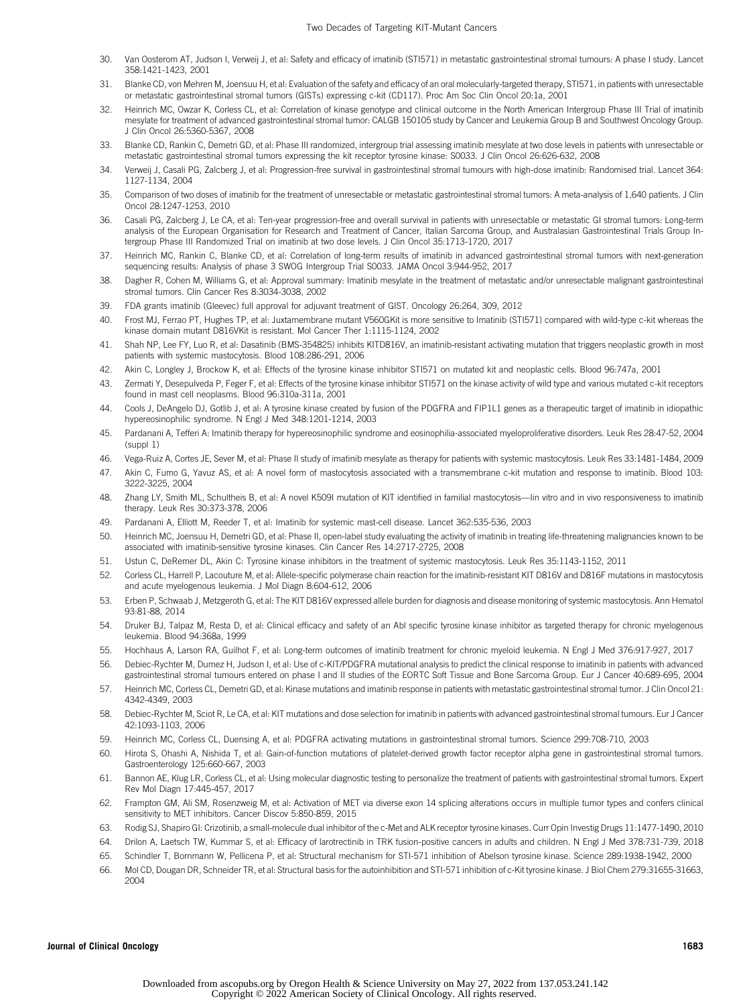- <span id="page-9-1"></span>30. Van Oosterom AT, Judson I, Verweij J, et al: Safety and efficacy of imatinib (STI571) in metastatic gastrointestinal stromal tumours: A phase I study. Lancet 358:1421-1423, 2001
- <span id="page-9-2"></span>31. Blanke CD, von Mehren M, Joensuu H, et al: Evaluation of the safety and efficacy of an oral molecularly-targeted therapy, STI571, in patients with unresectable or metastatic gastrointestinal stromal tumors (GISTs) expressing c-kit (CD117). Proc Am Soc Clin Oncol 20:1a, 2001
- <span id="page-9-3"></span>32. Heinrich MC, Owzar K, Corless CL, et al: Correlation of kinase genotype and clinical outcome in the North American Intergroup Phase III Trial of imatinib mesylate for treatment of advanced gastrointestinal stromal tumor: CALGB 150105 study by Cancer and Leukemia Group B and Southwest Oncology Group. J Clin Oncol 26:5360-5367, 2008
- 33. Blanke CD, Rankin C, Demetri GD, et al: Phase III randomized, intergroup trial assessing imatinib mesylate at two dose levels in patients with unresectable or metastatic gastrointestinal stromal tumors expressing the kit receptor tyrosine kinase: S0033. J Clin Oncol 26:626-632, 2008
- <span id="page-9-30"></span>34. Verweij J, Casali PG, Zalcberg J, et al: Progression-free survival in gastrointestinal stromal tumours with high-dose imatinib: Randomised trial. Lancet 364: 1127-1134, 2004
- <span id="page-9-4"></span>35. Comparison of two doses of imatinib for the treatment of unresectable or metastatic gastrointestinal stromal tumors: A meta-analysis of 1,640 patients. J Clin Oncol 28:1247-1253, 2010
- <span id="page-9-5"></span>36. Casali PG, Zalcberg J, Le CA, et al: Ten-year progression-free and overall survival in patients with unresectable or metastatic GI stromal tumors: Long-term analysis of the European Organisation for Research and Treatment of Cancer, Italian Sarcoma Group, and Australasian Gastrointestinal Trials Group Intergroup Phase III Randomized Trial on imatinib at two dose levels. J Clin Oncol 35:1713-1720, 2017
- <span id="page-9-6"></span>37. Heinrich MC, Rankin C, Blanke CD, et al: Correlation of long-term results of imatinib in advanced gastrointestinal stromal tumors with next-generation sequencing results: Analysis of phase 3 SWOG Intergroup Trial S0033. JAMA Oncol 3:944-952, 2017
- <span id="page-9-7"></span>38. Dagher R, Cohen M, Williams G, et al: Approval summary: Imatinib mesylate in the treatment of metastatic and/or unresectable malignant gastrointestinal stromal tumors. Clin Cancer Res 8:3034-3038, 2002
- <span id="page-9-8"></span>39. FDA grants imatinib (Gleevec) full approval for adjuvant treatment of GIST. Oncology 26:264, 309, 2012
- <span id="page-9-9"></span>40. Frost MJ, Ferrao PT, Hughes TP, et al: Juxtamembrane mutant V560GKit is more sensitive to Imatinib (STI571) compared with wild-type c-kit whereas the kinase domain mutant D816VKit is resistant. Mol Cancer Ther 1:1115-1124, 2002
- <span id="page-9-31"></span>41. Shah NP, Lee FY, Luo R, et al: Dasatinib (BMS-354825) inhibits KITD816V, an imatinib-resistant activating mutation that triggers neoplastic growth in most patients with systemic mastocytosis. Blood 108:286-291, 2006
- 42. Akin C, Longley J, Brockow K, et al: Effects of the tyrosine kinase inhibitor STI571 on mutated kit and neoplastic cells. Blood 96:747a, 2001
- <span id="page-9-10"></span>43. Zermati Y, Desepulveda P, Feger F, et al: Effects of the tyrosine kinase inhibitor STI571 on the kinase activity of wild type and various mutated c-kit receptors found in mast cell neoplasms. Blood 96:310a-311a, 2001
- <span id="page-9-11"></span>44. Cools J, DeAngelo DJ, Gotlib J, et al: A tyrosine kinase created by fusion of the PDGFRA and FIP1L1 genes as a therapeutic target of imatinib in idiopathic hypereosinophilic syndrome. N Engl J Med 348:1201-1214, 2003
- <span id="page-9-12"></span>45. Pardanani A, Tefferi A: Imatinib therapy for hypereosinophilic syndrome and eosinophilia-associated myeloproliferative disorders. Leuk Res 28:47-52, 2004 (suppl 1)
- <span id="page-9-13"></span>46. Vega-Ruiz A, Cortes JE, Sever M, et al: Phase II study of imatinib mesylate as therapy for patients with systemic mastocytosis. Leuk Res 33:1481-1484, 2009
- 47. Akin C, Fumo G, Yavuz AS, et al: A novel form of mastocytosis associated with a transmembrane c-kit mutation and response to imatinib. Blood 103: 3222-3225, 2004
- 48. Zhang LY, Smith ML, Schultheis B, et al: A novel K509I mutation of KIT identified in familial mastocytosis—Iin vitro and in vivo responsiveness to imatinib therapy. Leuk Res 30:373-378, 2006
- 49. Pardanani A, Elliott M, Reeder T, et al: Imatinib for systemic mast-cell disease. Lancet 362:535-536, 2003
- <span id="page-9-0"></span>50. Heinrich MC, Joensuu H, Demetri GD, et al: Phase II, open-label study evaluating the activity of imatinib in treating life-threatening malignancies known to be associated with imatinib-sensitive tyrosine kinases. Clin Cancer Res 14:2717-2725, 2008
- <span id="page-9-14"></span>51. Ustun C, DeRemer DL, Akin C: Tyrosine kinase inhibitors in the treatment of systemic mastocytosis. Leuk Res 35:1143-1152, 2011
- <span id="page-9-15"></span>52. Corless CL, Harrell P, Lacouture M, et al: Allele-specific polymerase chain reaction for the imatinib-resistant KIT D816V and D816F mutations in mastocytosis and acute myelogenous leukemia. J Mol Diagn 8:604-612, 2006
- <span id="page-9-16"></span>53. Erben P, Schwaab J, Metzgeroth G, et al: The KIT D816V expressed allele burden for diagnosis and disease monitoring of systemic mastocytosis. Ann Hematol 93:81-88, 2014
- <span id="page-9-17"></span>54. Druker BJ, Talpaz M, Resta D, et al: Clinical efficacy and safety of an Abl specific tyrosine kinase inhibitor as targeted therapy for chronic myelogenous leukemia. Blood 94:368a, 1999
- <span id="page-9-18"></span>55. Hochhaus A, Larson RA, Guilhot F, et al: Long-term outcomes of imatinib treatment for chronic myeloid leukemia. N Engl J Med 376:917-927, 2017
- <span id="page-9-19"></span>56. Debiec-Rychter M, Dumez H, Judson I, et al: Use of c-KIT/PDGFRA mutational analysis to predict the clinical response to imatinib in patients with advanced gastrointestinal stromal tumours entered on phase I and II studies of the EORTC Soft Tissue and Bone Sarcoma Group. Eur J Cancer 40:689-695, 2004
- <span id="page-9-20"></span>57. Heinrich MC, Corless CL, Demetri GD, et al: Kinase mutations and imatinib response in patients with metastatic gastrointestinal stromal tumor. J Clin Oncol 21: 4342-4349, 2003
- <span id="page-9-21"></span>58. Debiec-Rychter M, Sciot R, Le CA, et al: KIT mutations and dose selection for imatinib in patients with advanced gastrointestinal stromal tumours. Eur J Cancer 42:1093-1103, 2006
- <span id="page-9-22"></span>59. Heinrich MC, Corless CL, Duensing A, et al: PDGFRA activating mutations in gastrointestinal stromal tumors. Science 299:708-710, 2003
- <span id="page-9-23"></span>60. Hirota S, Ohashi A, Nishida T, et al: Gain-of-function mutations of platelet-derived growth factor receptor alpha gene in gastrointestinal stromal tumors. Gastroenterology 125:660-667, 2003
- <span id="page-9-24"></span>61. Bannon AE, Klug LR, Corless CL, et al: Using molecular diagnostic testing to personalize the treatment of patients with gastrointestinal stromal tumors. Expert Rev Mol Diagn 17:445-457, 2017
- <span id="page-9-25"></span>62. Frampton GM, Ali SM, Rosenzweig M, et al: Activation of MET via diverse exon 14 splicing alterations occurs in multiple tumor types and confers clinical sensitivity to MET inhibitors. Cancer Discov 5:850-859, 2015
- <span id="page-9-26"></span>63. Rodig SJ, Shapiro GI: Crizotinib, a small-molecule dual inhibitor of the c-Met and ALK receptor tyrosine kinases. Curr Opin Investig Drugs 11:1477-1490, 2010
- <span id="page-9-27"></span>64. Drilon A, Laetsch TW, Kummar S, et al: Efficacy of larotrectinib in TRK fusion-positive cancers in adults and children. N Engl J Med 378:731-739, 2018
- <span id="page-9-28"></span>65. Schindler T, Bornmann W, Pellicena P, et al: Structural mechanism for STI-571 inhibition of Abelson tyrosine kinase. Science 289:1938-1942, 2000
- <span id="page-9-29"></span>66. Mol CD, Dougan DR, Schneider TR, et al: Structural basis for the autoinhibition and STI-571 inhibition of c-Kit tyrosine kinase. J Biol Chem 279:31655-31663, 2004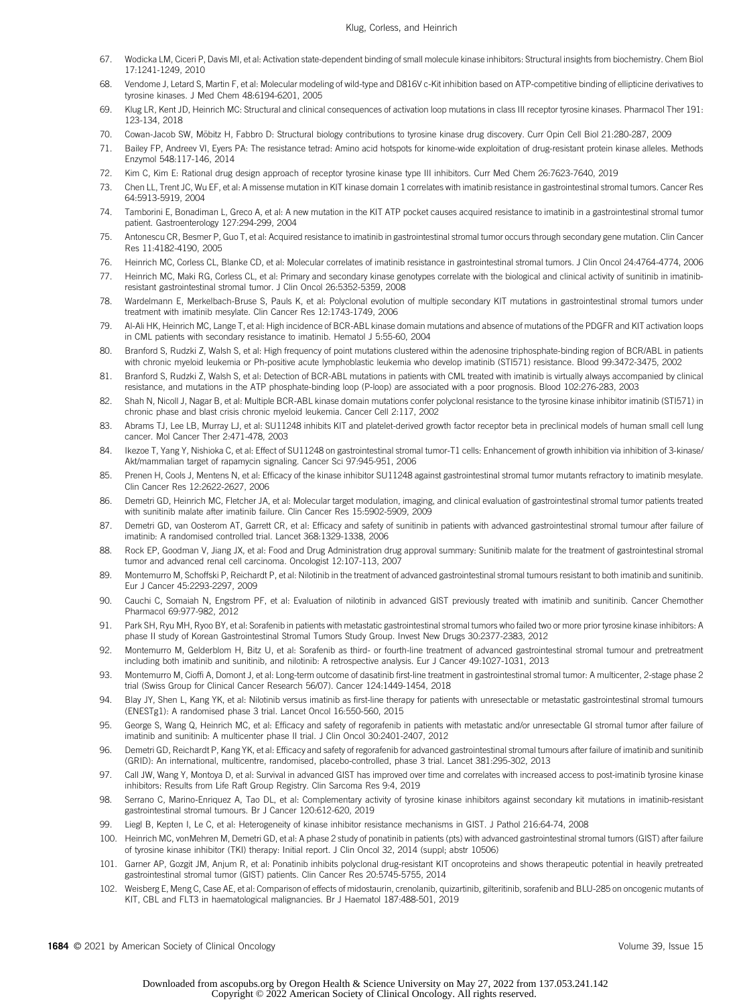- <span id="page-10-0"></span>67. Wodicka LM, Ciceri P, Davis MI, et al: Activation state-dependent binding of small molecule kinase inhibitors: Structural insights from biochemistry. Chem Biol 17:1241-1249, 2010
- <span id="page-10-1"></span>68. Vendome J, Letard S, Martin F, et al: Molecular modeling of wild-type and D816V c-Kit inhibition based on ATP-competitive binding of ellipticine derivatives to tyrosine kinases. J Med Chem 48:6194-6201, 2005
- <span id="page-10-2"></span>69. Klug LR, Kent JD, Heinrich MC: Structural and clinical consequences of activation loop mutations in class III receptor tyrosine kinases. Pharmacol Ther 191: 123-134, 2018
- <span id="page-10-3"></span>70. Cowan-Jacob SW, Mobitz H, Fabbro D: Structural biology contributions to tyrosine kinase drug discovery. Curr Opin Cell Biol 21:280-287, 2009 ¨
- 71. Bailey FP, Andreev VI, Eyers PA: The resistance tetrad: Amino acid hotspots for kinome-wide exploitation of drug-resistant protein kinase alleles. Methods Enzymol 548:117-146, 2014
- <span id="page-10-4"></span>72. Kim C, Kim E: Rational drug design approach of receptor tyrosine kinase type III inhibitors. Curr Med Chem 26:7623-7640, 2019
- <span id="page-10-5"></span>73. Chen LL, Trent JC, Wu EF, et al: A missense mutation in KIT kinase domain 1 correlates with imatinib resistance in gastrointestinal stromal tumors. Cancer Res 64:5913-5919, 2004
- 74. Tamborini E, Bonadiman L, Greco A, et al: A new mutation in the KIT ATP pocket causes acquired resistance to imatinib in a gastrointestinal stromal tumor patient. Gastroenterology 127:294-299, 2004
- 75. Antonescu CR, Besmer P, Guo T, et al: Acquired resistance to imatinib in gastrointestinal stromal tumor occurs through secondary gene mutation. Clin Cancer Res 11:4182-4190, 2005
- 76. Heinrich MC, Corless CL, Blanke CD, et al: Molecular correlates of imatinib resistance in gastrointestinal stromal tumors. J Clin Oncol 24:4764-4774, 2006
- <span id="page-10-9"></span>77. Heinrich MC, Maki RG, Corless CL, et al: Primary and secondary kinase genotypes correlate with the biological and clinical activity of sunitinib in imatinibresistant gastrointestinal stromal tumor. J Clin Oncol 26:5352-5359, 2008
- <span id="page-10-6"></span>78. Wardelmann E, Merkelbach-Bruse S, Pauls K, et al: Polyclonal evolution of multiple secondary KIT mutations in gastrointestinal stromal tumors under treatment with imatinib mesylate. Clin Cancer Res 12:1743-1749, 2006
- <span id="page-10-7"></span>79. Al-Ali HK, Heinrich MC, Lange T, et al: High incidence of BCR-ABL kinase domain mutations and absence of mutations of the PDGFR and KIT activation loops in CML patients with secondary resistance to imatinib. Hematol J 5:55-60, 2004
- 80. Branford S, Rudzki Z, Walsh S, et al: High frequency of point mutations clustered within the adenosine triphosphate-binding region of BCR/ABL in patients with chronic myeloid leukemia or Ph-positive acute lymphoblastic leukemia who develop imatinib (STI571) resistance. Blood 99:3472-3475, 2002
- 81. Branford S, Rudzki Z, Walsh S, et al: Detection of BCR-ABL mutations in patients with CML treated with imatinib is virtually always accompanied by clinical resistance, and mutations in the ATP phosphate-binding loop (P-loop) are associated with a poor prognosis. Blood 102:276-283, 2003
- <span id="page-10-8"></span>82. Shah N, Nicoll J, Nagar B, et al: Multiple BCR-ABL kinase domain mutations confer polyclonal resistance to the tyrosine kinase inhibitor imatinib (STI571) in chronic phase and blast crisis chronic myeloid leukemia. Cancer Cell 2:117, 2002
- <span id="page-10-10"></span>83. Abrams TJ, Lee LB, Murray LJ, et al: SU11248 inhibits KIT and platelet-derived growth factor receptor beta in preclinical models of human small cell lung cancer. Mol Cancer Ther 2:471-478, 2003
- 84. Ikezoe T, Yang Y, Nishioka C, et al: Effect of SU11248 on gastrointestinal stromal tumor-T1 cells: Enhancement of growth inhibition via inhibition of 3-kinase/ Akt/mammalian target of rapamycin signaling. Cancer Sci 97:945-951, 2006
- <span id="page-10-11"></span>85. Prenen H, Cools J, Mentens N, et al: Efficacy of the kinase inhibitor SU11248 against gastrointestinal stromal tumor mutants refractory to imatinib mesylate. Clin Cancer Res 12:2622-2627, 2006
- <span id="page-10-12"></span>86. Demetri GD, Heinrich MC, Fletcher JA, et al: Molecular target modulation, imaging, and clinical evaluation of gastrointestinal stromal tumor patients treated with sunitinib malate after imatinib failure. Clin Cancer Res 15:5902-5909, 2009
- <span id="page-10-13"></span>87. Demetri GD, van Oosterom AT, Garrett CR, et al: Efficacy and safety of sunitinib in patients with advanced gastrointestinal stromal tumour after failure of imatinib: A randomised controlled trial. Lancet 368:1329-1338, 2006
- <span id="page-10-14"></span>88. Rock EP, Goodman V, Jiang JX, et al: Food and Drug Administration drug approval summary: Sunitinib malate for the treatment of gastrointestinal stromal tumor and advanced renal cell carcinoma. Oncologist 12:107-113, 2007
- <span id="page-10-15"></span>89. Montemurro M, Schoffski P, Reichardt P, et al: Nilotinib in the treatment of advanced gastrointestinal stromal tumours resistant to both imatinib and sunitinib. Eur J Cancer 45:2293-2297, 2009
- 90. Cauchi C, Somaiah N, Engstrom PF, et al: Evaluation of nilotinib in advanced GIST previously treated with imatinib and sunitinib. Cancer Chemother Pharmacol 69:977-982, 2012
- 91. Park SH, Ryu MH, Ryoo BY, et al: Sorafenib in patients with metastatic gastrointestinal stromal tumors who failed two or more prior tyrosine kinase inhibitors: A phase II study of Korean Gastrointestinal Stromal Tumors Study Group. Invest New Drugs 30:2377-2383, 2012
- 92. Montemurro M, Gelderblom H, Bitz U, et al: Sorafenib as third- or fourth-line treatment of advanced gastrointestinal stromal tumour and pretreatment including both imatinib and sunitinib, and nilotinib: A retrospective analysis. Eur J Cancer 49:1027-1031, 2013
- <span id="page-10-16"></span>93. Montemurro M, Cioffi A, Domont J, et al: Long-term outcome of dasatinib first-line treatment in gastrointestinal stromal tumor: A multicenter, 2-stage phase 2 trial (Swiss Group for Clinical Cancer Research 56/07). Cancer 124:1449-1454, 2018
- <span id="page-10-17"></span>94. Blay JY, Shen L, Kang YK, et al: Nilotinib versus imatinib as first-line therapy for patients with unresectable or metastatic gastrointestinal stromal tumours (ENESTg1): A randomised phase 3 trial. Lancet Oncol 16:550-560, 2015
- <span id="page-10-18"></span>95. George S, Wang Q, Heinrich MC, et al: Efficacy and safety of regorafenib in patients with metastatic and/or unresectable GI stromal tumor after failure of imatinib and sunitinib: A multicenter phase II trial. J Clin Oncol 30:2401-2407, 2012
- <span id="page-10-19"></span>96. Demetri GD, Reichardt P, Kang YK, et al: Efficacy and safety of regorafenib for advanced gastrointestinal stromal tumours after failure of imatinib and sunitinib (GRID): An international, multicentre, randomised, placebo-controlled, phase 3 trial. Lancet 381:295-302, 2013
- <span id="page-10-20"></span>97. Call JW, Wang Y, Montoya D, et al: Survival in advanced GIST has improved over time and correlates with increased access to post-imatinib tyrosine kinase inhibitors: Results from Life Raft Group Registry. Clin Sarcoma Res 9:4, 2019
- <span id="page-10-21"></span>98. Serrano C, Marino-Enriquez A, Tao DL, et al: Complementary activity of tyrosine kinase inhibitors against secondary kit mutations in imatinib-resistant gastrointestinal stromal tumours. Br J Cancer 120:612-620, 2019
- <span id="page-10-22"></span>99. Liegl B, Kepten I, Le C, et al: Heterogeneity of kinase inhibitor resistance mechanisms in GIST. J Pathol 216:64-74, 2008
- <span id="page-10-23"></span>100. Heinrich MC, vonMehren M, Demetri GD, et al: A phase 2 study of ponatinib in patients (pts) with advanced gastrointestinal stromal tumors (GIST) after failure of tyrosine kinase inhibitor (TKI) therapy: Initial report. J Clin Oncol 32, 2014 (suppl; abstr 10506)
- <span id="page-10-24"></span>101. Garner AP, Gozgit JM, Anjum R, et al: Ponatinib inhibits polyclonal drug-resistant KIT oncoproteins and shows therapeutic potential in heavily pretreated gastrointestinal stromal tumor (GIST) patients. Clin Cancer Res 20:5745-5755, 2014
- <span id="page-10-25"></span>102. Weisberg E, Meng C, Case AE, et al: Comparison of effects of midostaurin, crenolanib, quizartinib, gilteritinib, sorafenib and BLU-285 on oncogenic mutants of KIT, CBL and FLT3 in haematological malignancies. Br J Haematol 187:488-501, 2019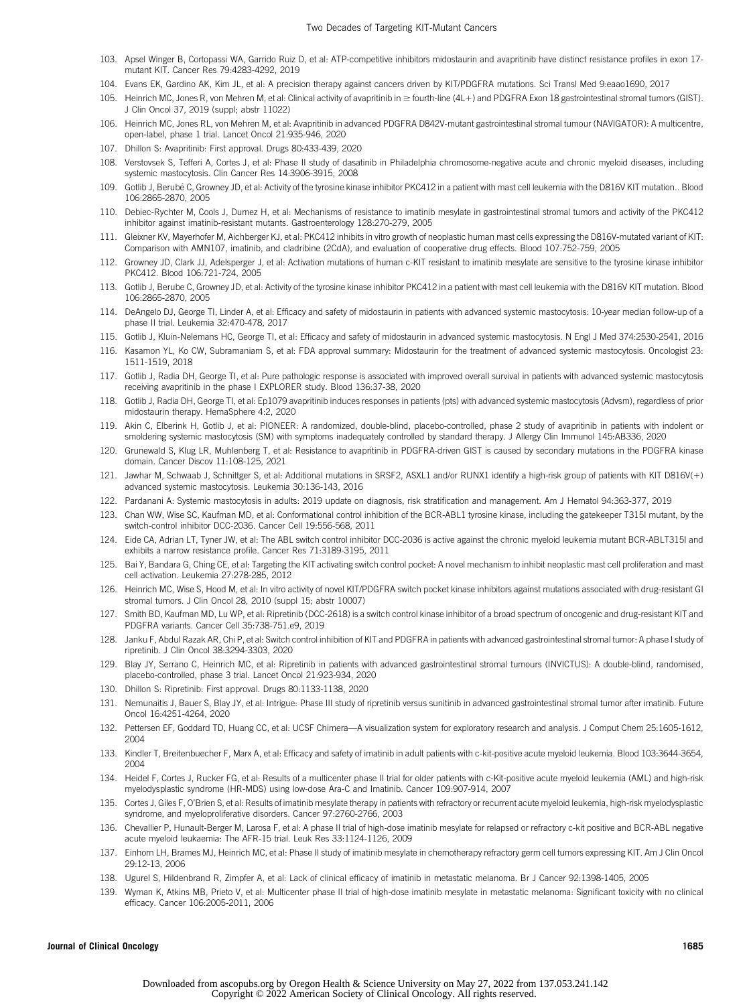- <span id="page-11-15"></span>103. Apsel Winger B, Cortopassi WA, Garrido Ruiz D, et al: ATP-competitive inhibitors midostaurin and avapritinib have distinct resistance profiles in exon 17 mutant KIT. Cancer Res 79:4283-4292, 2019
- <span id="page-11-3"></span>104. Evans EK, Gardino AK, Kim JL, et al: A precision therapy against cancers driven by KIT/PDGFRA mutations. Sci Transl Med 9:eaao1690, 2017
- <span id="page-11-4"></span>105. Heinrich MC, Jones R, von Mehren M, et al: Clinical activity of avapritinib in ≥ fourth-line (4L+) and PDGFRA Exon 18 gastrointestinal stromal tumors (GIST). J Clin Oncol 37, 2019 (suppl; abstr 11022)
- <span id="page-11-5"></span>106. Heinrich MC, Jones RL, von Mehren M, et al: Avapritinib in advanced PDGFRA D842V-mutant gastrointestinal stromal tumour (NAVIGATOR): A multicentre, open-label, phase 1 trial. Lancet Oncol 21:935-946, 2020
- <span id="page-11-2"></span>107. Dhillon S: Avapritinib: First approval. Drugs 80:433-439, 2020
- <span id="page-11-6"></span>108. Verstovsek S, Tefferi A, Cortes J, et al: Phase II study of dasatinib in Philadelphia chromosome-negative acute and chronic myeloid diseases, including systemic mastocytosis. Clin Cancer Res 14:3906-3915, 2008
- <span id="page-11-7"></span>109. Gotlib J, Berube C, Growney JD, et al: Activity of the tyrosine kinase inhibitor PKC412 in a patient with mast cell leukemia with the D816V KIT mutation.. Blood ´ 106:2865-2870, 2005
- 110. Debiec-Rychter M, Cools J, Dumez H, et al: Mechanisms of resistance to imatinib mesylate in gastrointestinal stromal tumors and activity of the PKC412 inhibitor against imatinib-resistant mutants. Gastroenterology 128:270-279, 2005
- 111. Gleixner KV, Mayerhofer M, Aichberger KJ, et al: PKC412 inhibits in vitro growth of neoplastic human mast cells expressing the D816V-mutated variant of KIT: Comparison with AMN107, imatinib, and cladribine (2CdA), and evaluation of cooperative drug effects. Blood 107:752-759, 2005
- <span id="page-11-8"></span>112. Growney JD, Clark JJ, Adelsperger J, et al: Activation mutations of human c-KIT resistant to imatinib mesylate are sensitive to the tyrosine kinase inhibitor PKC412. Blood 106:721-724, 2005
- <span id="page-11-9"></span>113. Gotlib J, Berube C, Growney JD, et al: Activity of the tyrosine kinase inhibitor PKC412 in a patient with mast cell leukemia with the D816V KIT mutation. Blood 106:2865-2870, 2005
- <span id="page-11-10"></span>114. DeAngelo DJ, George TI, Linder A, et al: Efficacy and safety of midostaurin in patients with advanced systemic mastocytosis: 10-year median follow-up of a phase II trial. Leukemia 32:470-478, 2017
- <span id="page-11-11"></span>115. Gotlib J, Kluin-Nelemans HC, George TI, et al: Efficacy and safety of midostaurin in advanced systemic mastocytosis. N Engl J Med 374:2530-2541, 2016
- <span id="page-11-1"></span>116. Kasamon YL, Ko CW, Subramaniam S, et al: FDA approval summary: Midostaurin for the treatment of advanced systemic mastocytosis. Oncologist 23: 1511-1519, 2018
- <span id="page-11-12"></span>117. Gotlib J, Radia DH, George TI, et al: Pure pathologic response is associated with improved overall survival in patients with advanced systemic mastocytosis receiving avapritinib in the phase I EXPLORER study. Blood 136:37-38, 2020
- <span id="page-11-13"></span>118. Gotlib J, Radia DH, George TI, et al: Ep1079 avapritinib induces responses in patients (pts) with advanced systemic mastocytosis (Advsm), regardless of prior midostaurin therapy. HemaSphere 4:2, 2020
- <span id="page-11-14"></span>119. Akin C, Elberink H, Gotlib J, et al: PIONEER: A randomized, double-blind, placebo-controlled, phase 2 study of avapritinib in patients with indolent or smoldering systemic mastocytosis (SM) with symptoms inadequately controlled by standard therapy. J Allergy Clin Immunol 145:AB336, 2020
- <span id="page-11-16"></span>120. Grunewald S, Klug LR, Muhlenberg T, et al: Resistance to avapritinib in PDGFRA-driven GIST is caused by secondary mutations in the PDGFRA kinase domain. Cancer Discov 11:108-125, 2021
- <span id="page-11-17"></span>121. Jawhar M, Schwaab J, Schnittger S, et al: Additional mutations in SRSF2, ASXL1 and/or RUNX1 identify a high-risk group of patients with KIT D816V(+) advanced systemic mastocytosis. Leukemia 30:136-143, 2016
- <span id="page-11-18"></span>122. Pardanani A: Systemic mastocytosis in adults: 2019 update on diagnosis, risk stratification and management. Am J Hematol 94:363-377, 2019
- <span id="page-11-20"></span>123. Chan WW, Wise SC, Kaufman MD, et al: Conformational control inhibition of the BCR-ABL1 tyrosine kinase, including the gatekeeper T315I mutant, by the switch-control inhibitor DCC-2036. Cancer Cell 19:556-568, 2011
- 124. Eide CA, Adrian LT, Tyner JW, et al: The ABL switch control inhibitor DCC-2036 is active against the chronic myeloid leukemia mutant BCR-ABLT315I and exhibits a narrow resistance profile. Cancer Res 71:3189-3195, 2011
- 125. Bai Y, Bandara G, Ching CE, et al: Targeting the KIT activating switch control pocket: A novel mechanism to inhibit neoplastic mast cell proliferation and mast cell activation. Leukemia 27:278-285, 2012
- <span id="page-11-21"></span>126. Heinrich MC, Wise S, Hood M, et al: In vitro activity of novel KIT/PDGFRA switch pocket kinase inhibitors against mutations associated with drug-resistant GI stromal tumors. J Clin Oncol 28, 2010 (suppl 15; abstr 10007)
- <span id="page-11-22"></span>127. Smith BD, Kaufman MD, Lu WP, et al: Ripretinib (DCC-2618) is a switch control kinase inhibitor of a broad spectrum of oncogenic and drug-resistant KIT and PDGFRA variants. Cancer Cell 35:738-751.e9, 2019
- <span id="page-11-23"></span>128. Janku F, Abdul Razak AR, Chi P, et al: Switch control inhibition of KIT and PDGFRA in patients with advanced gastrointestinal stromal tumor: A phase I study of ripretinib. J Clin Oncol 38:3294-3303, 2020
- <span id="page-11-24"></span>129. Blay JY, Serrano C, Heinrich MC, et al: Ripretinib in patients with advanced gastrointestinal stromal tumours (INVICTUS): A double-blind, randomised, placebo-controlled, phase 3 trial. Lancet Oncol 21:923-934, 2020
- <span id="page-11-25"></span>130. Dhillon S: Ripretinib: First approval. Drugs 80:1133-1138, 2020
- <span id="page-11-26"></span>131. Nemunaitis J, Bauer S, Blay JY, et al: Intrigue: Phase III study of ripretinib versus sunitinib in advanced gastrointestinal stromal tumor after imatinib. Future Oncol 16:4251-4264, 2020
- <span id="page-11-19"></span>132. Pettersen EF, Goddard TD, Huang CC, et al: UCSF Chimera—A visualization system for exploratory research and analysis. J Comput Chem 25:1605-1612, 2004
- <span id="page-11-0"></span>133. Kindler T, Breitenbuecher F, Marx A, et al: Efficacy and safety of imatinib in adult patients with c-kit-positive acute myeloid leukemia. Blood 103:3644-3654, 2004
- 134. Heidel F, Cortes J, Rucker FG, et al: Results of a multicenter phase II trial for older patients with c-Kit-positive acute myeloid leukemia (AML) and high-risk myelodysplastic syndrome (HR-MDS) using low-dose Ara-C and Imatinib. Cancer 109:907-914, 2007
- 135. Cortes J, Giles F, O'Brien S, et al: Results of imatinib mesylate therapy in patients with refractory or recurrent acute myeloid leukemia, high-risk myelodysplastic syndrome, and myeloproliferative disorders. Cancer 97:2760-2766, 2003
- 136. Chevallier P, Hunault-Berger M, Larosa F, et al: A phase II trial of high-dose imatinib mesylate for relapsed or refractory c-kit positive and BCR-ABL negative acute myeloid leukaemia: The AFR-15 trial. Leuk Res 33:1124-1126, 2009
- 137. Einhorn LH, Brames MJ, Heinrich MC, et al: Phase II study of imatinib mesylate in chemotherapy refractory germ cell tumors expressing KIT. Am J Clin Oncol 29:12-13, 2006
- 138. Ugurel S, Hildenbrand R, Zimpfer A, et al: Lack of clinical efficacy of imatinib in metastatic melanoma. Br J Cancer 92:1398-1405, 2005
- 139. Wyman K, Atkins MB, Prieto V, et al: Multicenter phase II trial of high-dose imatinib mesylate in metastatic melanoma: Significant toxicity with no clinical efficacy. Cancer 106:2005-2011, 2006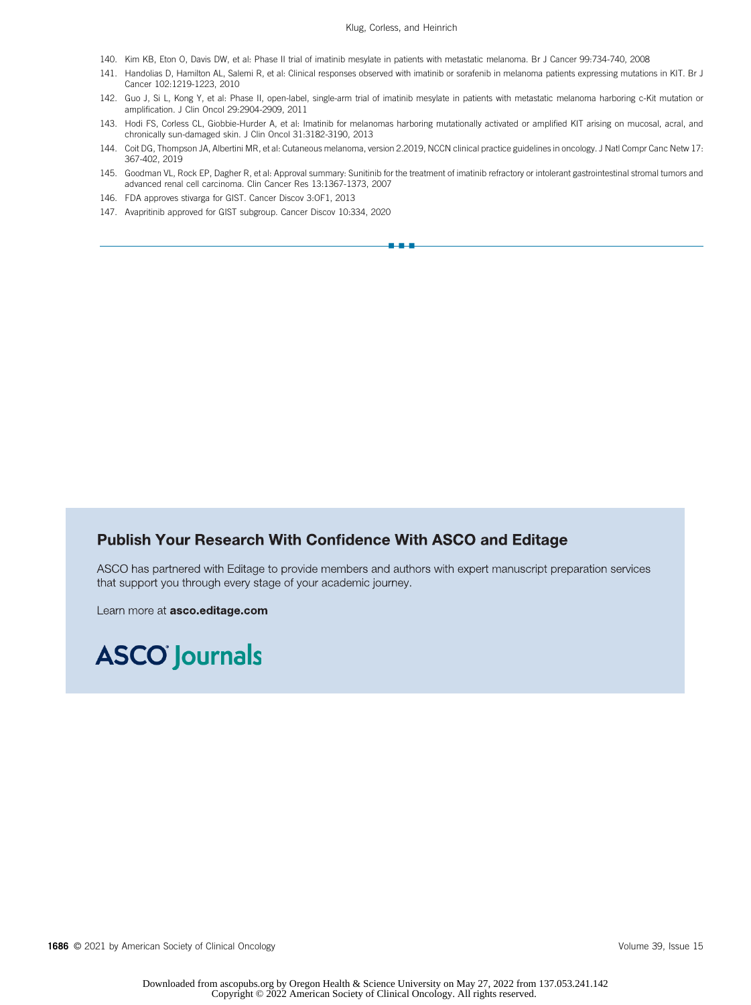- 140. Kim KB, Eton O, Davis DW, et al: Phase II trial of imatinib mesylate in patients with metastatic melanoma. Br J Cancer 99:734-740, 2008
- 141. Handolias D, Hamilton AL, Salemi R, et al: Clinical responses observed with imatinib or sorafenib in melanoma patients expressing mutations in KIT. Br J Cancer 102:1219-1223, 2010
- 142. Guo J, Si L, Kong Y, et al: Phase II, open-label, single-arm trial of imatinib mesylate in patients with metastatic melanoma harboring c-Kit mutation or amplification. J Clin Oncol 29:2904-2909, 2011
- <span id="page-12-0"></span>143. Hodi FS, Corless CL, Giobbie-Hurder A, et al: Imatinib for melanomas harboring mutationally activated or amplified KIT arising on mucosal, acral, and chronically sun-damaged skin. J Clin Oncol 31:3182-3190, 2013
- <span id="page-12-1"></span>144. Coit DG, Thompson JA, Albertini MR, et al: Cutaneous melanoma, version 2.2019, NCCN clinical practice guidelines in oncology. J Natl Compr Canc Netw 17: 367-402, 2019
- <span id="page-12-2"></span>145. Goodman VL, Rock EP, Dagher R, et al: Approval summary: Sunitinib for the treatment of imatinib refractory or intolerant gastrointestinal stromal tumors and advanced renal cell carcinoma. Clin Cancer Res 13:1367-1373, 2007

nn - 1

- <span id="page-12-3"></span>146. FDA approves stivarga for GIST. Cancer Discov 3:OF1, 2013
- <span id="page-12-4"></span>147. Avapritinib approved for GIST subgroup. Cancer Discov 10:334, 2020

# **Publish Your Research With Confidence With ASCO and Editage**

ASCO has partnered with Editage to provide members and authors with expert manuscript preparation services that support you through every stage of your academic journey.

Learn more at asco.editage.com